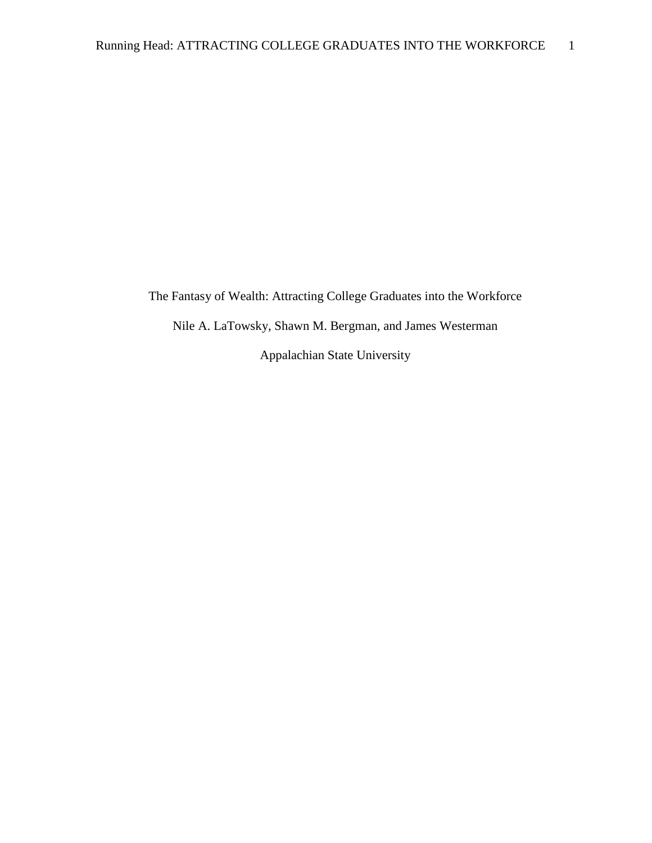The Fantasy of Wealth: Attracting College Graduates into the Workforce Nile A. LaTowsky, Shawn M. Bergman, and James Westerman Appalachian State University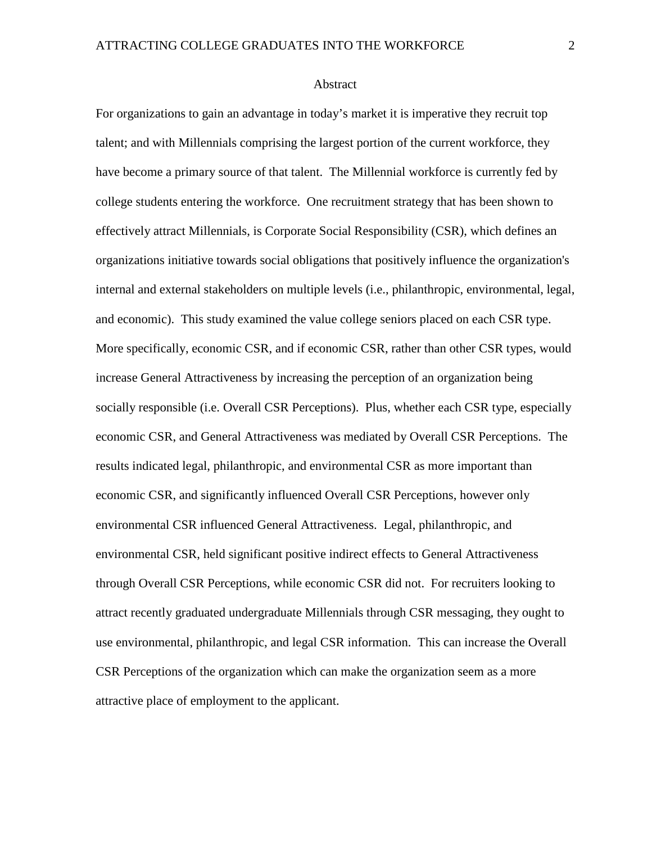### Abstract

For organizations to gain an advantage in today's market it is imperative they recruit top talent; and with Millennials comprising the largest portion of the current workforce, they have become a primary source of that talent. The Millennial workforce is currently fed by college students entering the workforce. One recruitment strategy that has been shown to effectively attract Millennials, is Corporate Social Responsibility (CSR), which defines an organizations initiative towards social obligations that positively influence the organization's internal and external stakeholders on multiple levels (i.e., philanthropic, environmental, legal, and economic). This study examined the value college seniors placed on each CSR type. More specifically, economic CSR, and if economic CSR, rather than other CSR types, would increase General Attractiveness by increasing the perception of an organization being socially responsible (i.e. Overall CSR Perceptions). Plus, whether each CSR type, especially economic CSR, and General Attractiveness was mediated by Overall CSR Perceptions. The results indicated legal, philanthropic, and environmental CSR as more important than economic CSR, and significantly influenced Overall CSR Perceptions, however only environmental CSR influenced General Attractiveness. Legal, philanthropic, and environmental CSR, held significant positive indirect effects to General Attractiveness through Overall CSR Perceptions, while economic CSR did not. For recruiters looking to attract recently graduated undergraduate Millennials through CSR messaging, they ought to use environmental, philanthropic, and legal CSR information. This can increase the Overall CSR Perceptions of the organization which can make the organization seem as a more attractive place of employment to the applicant.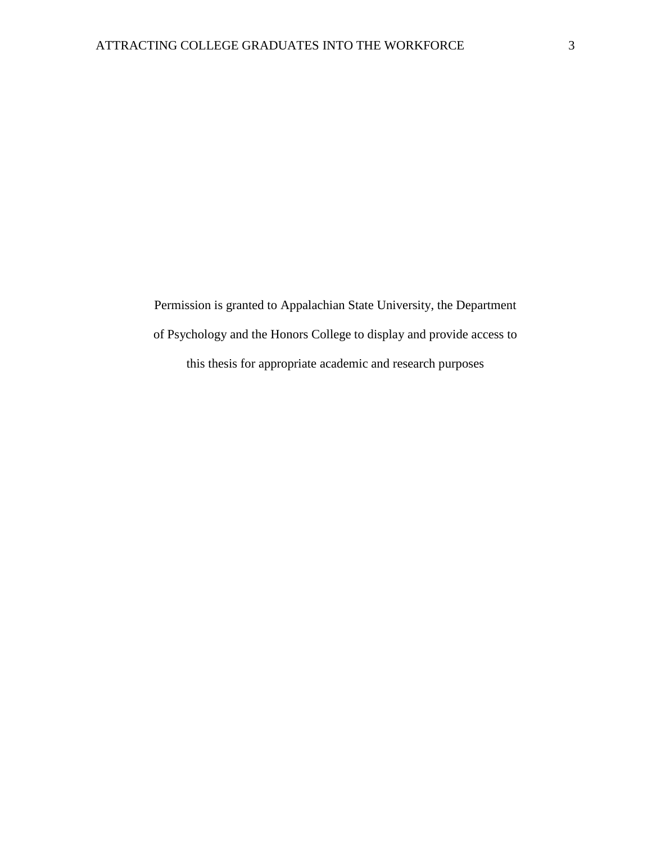Permission is granted to Appalachian State University, the Department of Psychology and the Honors College to display and provide access to this thesis for appropriate academic and research purposes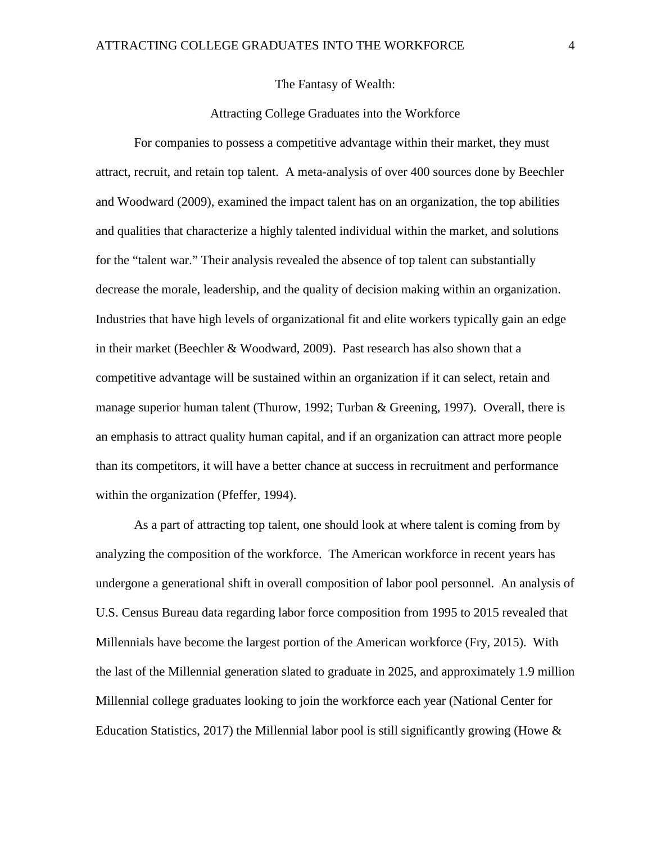## The Fantasy of Wealth:

## Attracting College Graduates into the Workforce

For companies to possess a competitive advantage within their market, they must attract, recruit, and retain top talent. A meta-analysis of over 400 sources done by Beechler and Woodward (2009), examined the impact talent has on an organization, the top abilities and qualities that characterize a highly talented individual within the market, and solutions for the "talent war." Their analysis revealed the absence of top talent can substantially decrease the morale, leadership, and the quality of decision making within an organization. Industries that have high levels of organizational fit and elite workers typically gain an edge in their market (Beechler & Woodward, 2009). Past research has also shown that a competitive advantage will be sustained within an organization if it can select, retain and manage superior human talent (Thurow, 1992; Turban & Greening, 1997). Overall, there is an emphasis to attract quality human capital, and if an organization can attract more people than its competitors, it will have a better chance at success in recruitment and performance within the organization (Pfeffer, 1994).

As a part of attracting top talent, one should look at where talent is coming from by analyzing the composition of the workforce. The American workforce in recent years has undergone a generational shift in overall composition of labor pool personnel. An analysis of U.S. Census Bureau data regarding labor force composition from 1995 to 2015 revealed that Millennials have become the largest portion of the American workforce (Fry, 2015). With the last of the Millennial generation slated to graduate in 2025, and approximately 1.9 million Millennial college graduates looking to join the workforce each year (National Center for Education Statistics, 2017) the Millennial labor pool is still significantly growing (Howe  $\&$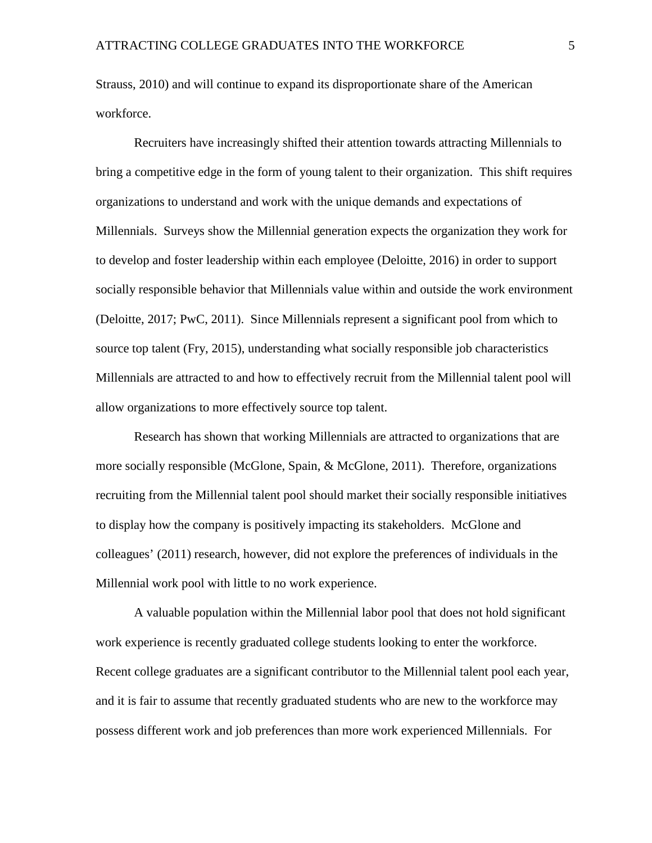Strauss, 2010) and will continue to expand its disproportionate share of the American workforce.

Recruiters have increasingly shifted their attention towards attracting Millennials to bring a competitive edge in the form of young talent to their organization. This shift requires organizations to understand and work with the unique demands and expectations of Millennials. Surveys show the Millennial generation expects the organization they work for to develop and foster leadership within each employee (Deloitte, 2016) in order to support socially responsible behavior that Millennials value within and outside the work environment (Deloitte, 2017; PwC, 2011). Since Millennials represent a significant pool from which to source top talent (Fry, 2015), understanding what socially responsible job characteristics Millennials are attracted to and how to effectively recruit from the Millennial talent pool will allow organizations to more effectively source top talent.

Research has shown that working Millennials are attracted to organizations that are more socially responsible (McGlone, Spain, & McGlone, 2011). Therefore, organizations recruiting from the Millennial talent pool should market their socially responsible initiatives to display how the company is positively impacting its stakeholders. McGlone and colleagues' (2011) research, however, did not explore the preferences of individuals in the Millennial work pool with little to no work experience.

A valuable population within the Millennial labor pool that does not hold significant work experience is recently graduated college students looking to enter the workforce. Recent college graduates are a significant contributor to the Millennial talent pool each year, and it is fair to assume that recently graduated students who are new to the workforce may possess different work and job preferences than more work experienced Millennials. For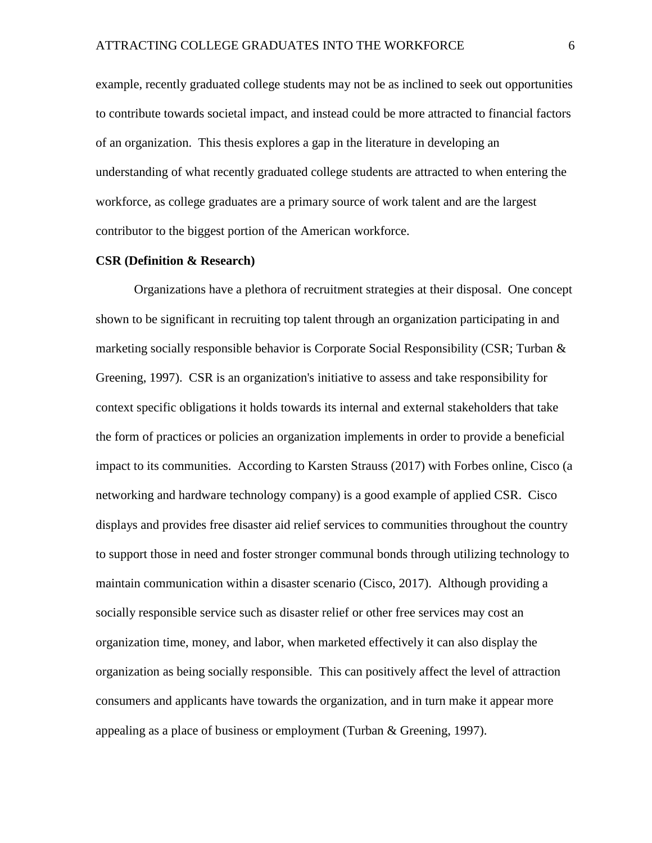example, recently graduated college students may not be as inclined to seek out opportunities to contribute towards societal impact, and instead could be more attracted to financial factors of an organization. This thesis explores a gap in the literature in developing an understanding of what recently graduated college students are attracted to when entering the workforce, as college graduates are a primary source of work talent and are the largest contributor to the biggest portion of the American workforce.

### **CSR (Definition & Research)**

Organizations have a plethora of recruitment strategies at their disposal. One concept shown to be significant in recruiting top talent through an organization participating in and marketing socially responsible behavior is Corporate Social Responsibility (CSR; Turban  $\&$ Greening, 1997). CSR is an organization's initiative to assess and take responsibility for context specific obligations it holds towards its internal and external stakeholders that take the form of practices or policies an organization implements in order to provide a beneficial impact to its communities. According to Karsten Strauss (2017) with Forbes online, Cisco (a networking and hardware technology company) is a good example of applied CSR. Cisco displays and provides free disaster aid relief services to communities throughout the country to support those in need and foster stronger communal bonds through utilizing technology to maintain communication within a disaster scenario (Cisco, 2017). Although providing a socially responsible service such as disaster relief or other free services may cost an organization time, money, and labor, when marketed effectively it can also display the organization as being socially responsible. This can positively affect the level of attraction consumers and applicants have towards the organization, and in turn make it appear more appealing as a place of business or employment (Turban & Greening, 1997).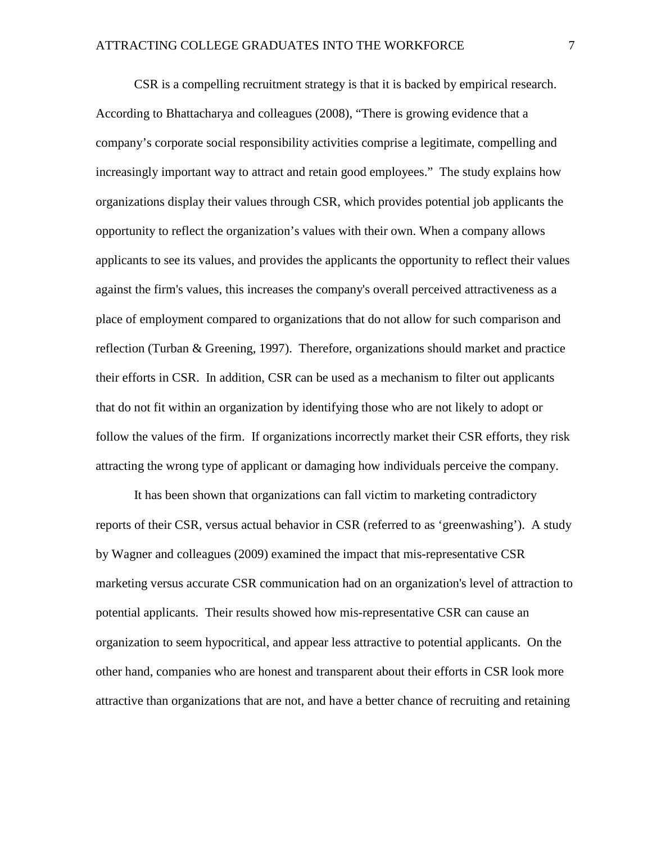CSR is a compelling recruitment strategy is that it is backed by empirical research. According to Bhattacharya and colleagues (2008), "There is growing evidence that a company's corporate social responsibility activities comprise a legitimate, compelling and increasingly important way to attract and retain good employees." The study explains how organizations display their values through CSR, which provides potential job applicants the opportunity to reflect the organization's values with their own. When a company allows applicants to see its values, and provides the applicants the opportunity to reflect their values against the firm's values, this increases the company's overall perceived attractiveness as a place of employment compared to organizations that do not allow for such comparison and reflection (Turban & Greening, 1997). Therefore, organizations should market and practice their efforts in CSR. In addition, CSR can be used as a mechanism to filter out applicants that do not fit within an organization by identifying those who are not likely to adopt or follow the values of the firm. If organizations incorrectly market their CSR efforts, they risk attracting the wrong type of applicant or damaging how individuals perceive the company.

It has been shown that organizations can fall victim to marketing contradictory reports of their CSR, versus actual behavior in CSR (referred to as 'greenwashing'). A study by Wagner and colleagues (2009) examined the impact that mis-representative CSR marketing versus accurate CSR communication had on an organization's level of attraction to potential applicants. Their results showed how mis-representative CSR can cause an organization to seem hypocritical, and appear less attractive to potential applicants. On the other hand, companies who are honest and transparent about their efforts in CSR look more attractive than organizations that are not, and have a better chance of recruiting and retaining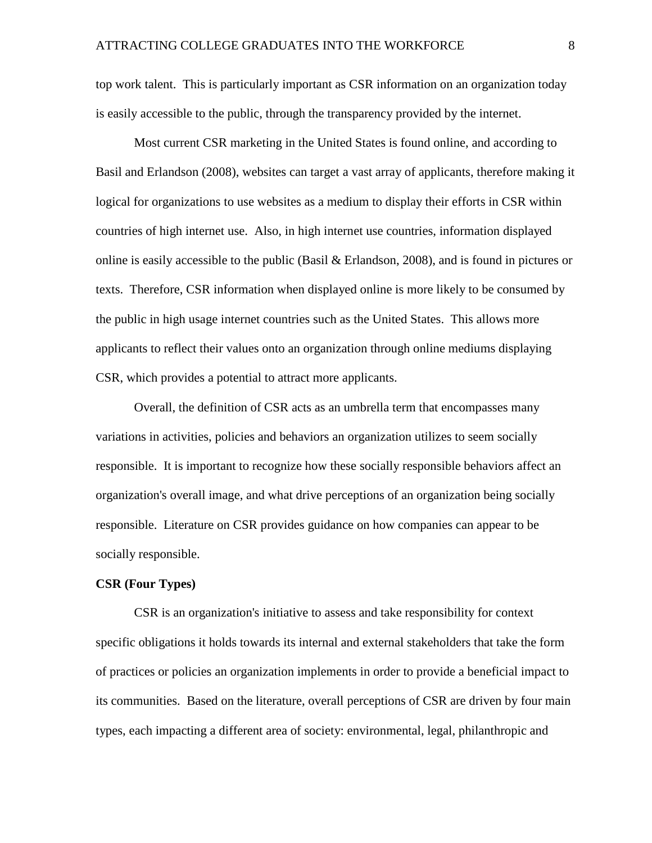top work talent. This is particularly important as CSR information on an organization today is easily accessible to the public, through the transparency provided by the internet.

Most current CSR marketing in the United States is found online, and according to Basil and Erlandson (2008), websites can target a vast array of applicants, therefore making it logical for organizations to use websites as a medium to display their efforts in CSR within countries of high internet use. Also, in high internet use countries, information displayed online is easily accessible to the public (Basil & Erlandson, 2008), and is found in pictures or texts. Therefore, CSR information when displayed online is more likely to be consumed by the public in high usage internet countries such as the United States. This allows more applicants to reflect their values onto an organization through online mediums displaying CSR, which provides a potential to attract more applicants.

Overall, the definition of CSR acts as an umbrella term that encompasses many variations in activities, policies and behaviors an organization utilizes to seem socially responsible. It is important to recognize how these socially responsible behaviors affect an organization's overall image, and what drive perceptions of an organization being socially responsible. Literature on CSR provides guidance on how companies can appear to be socially responsible.

#### **CSR (Four Types)**

CSR is an organization's initiative to assess and take responsibility for context specific obligations it holds towards its internal and external stakeholders that take the form of practices or policies an organization implements in order to provide a beneficial impact to its communities. Based on the literature, overall perceptions of CSR are driven by four main types, each impacting a different area of society: environmental, legal, philanthropic and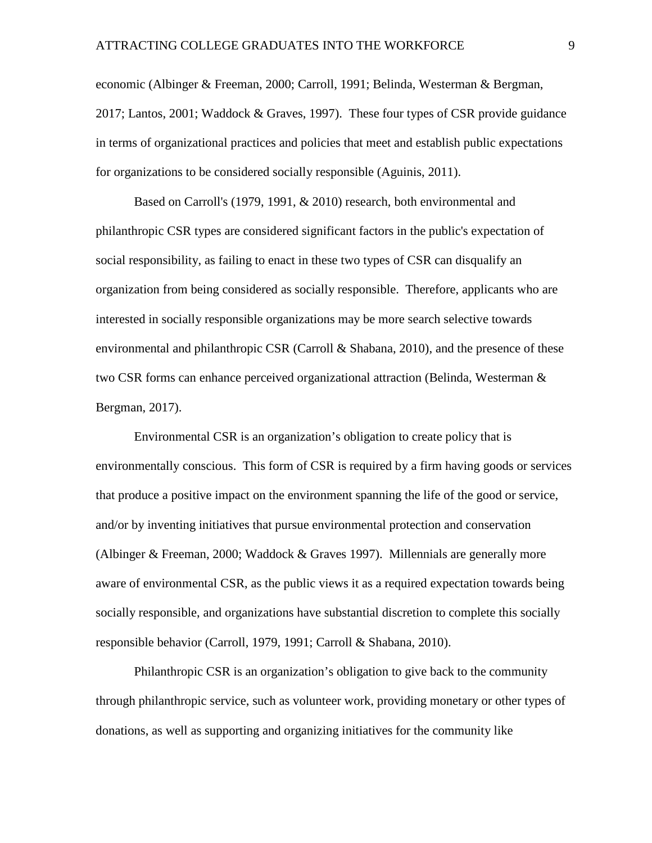economic (Albinger & Freeman, 2000; Carroll, 1991; Belinda, Westerman & Bergman, 2017; Lantos, 2001; Waddock & Graves, 1997). These four types of CSR provide guidance in terms of organizational practices and policies that meet and establish public expectations for organizations to be considered socially responsible (Aguinis, 2011).

Based on Carroll's (1979, 1991, & 2010) research, both environmental and philanthropic CSR types are considered significant factors in the public's expectation of social responsibility, as failing to enact in these two types of CSR can disqualify an organization from being considered as socially responsible. Therefore, applicants who are interested in socially responsible organizations may be more search selective towards environmental and philanthropic CSR (Carroll  $&$  Shabana, 2010), and the presence of these two CSR forms can enhance perceived organizational attraction (Belinda, Westerman & Bergman, 2017).

Environmental CSR is an organization's obligation to create policy that is environmentally conscious. This form of CSR is required by a firm having goods or services that produce a positive impact on the environment spanning the life of the good or service, and/or by inventing initiatives that pursue environmental protection and conservation (Albinger & Freeman, 2000; Waddock & Graves 1997). Millennials are generally more aware of environmental CSR, as the public views it as a required expectation towards being socially responsible, and organizations have substantial discretion to complete this socially responsible behavior (Carroll, 1979, 1991; Carroll & Shabana, 2010).

Philanthropic CSR is an organization's obligation to give back to the community through philanthropic service, such as volunteer work, providing monetary or other types of donations, as well as supporting and organizing initiatives for the community like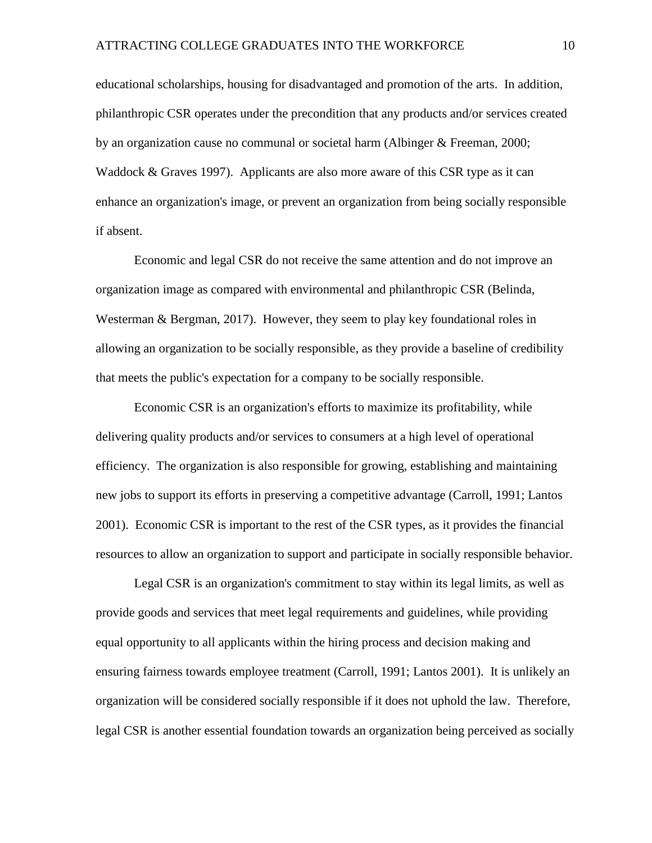educational scholarships, housing for disadvantaged and promotion of the arts. In addition, philanthropic CSR operates under the precondition that any products and/or services created by an organization cause no communal or societal harm (Albinger & Freeman, 2000; Waddock & Graves 1997). Applicants are also more aware of this CSR type as it can enhance an organization's image, or prevent an organization from being socially responsible if absent.

Economic and legal CSR do not receive the same attention and do not improve an organization image as compared with environmental and philanthropic CSR (Belinda, Westerman & Bergman, 2017). However, they seem to play key foundational roles in allowing an organization to be socially responsible, as they provide a baseline of credibility that meets the public's expectation for a company to be socially responsible.

Economic CSR is an organization's efforts to maximize its profitability, while delivering quality products and/or services to consumers at a high level of operational efficiency. The organization is also responsible for growing, establishing and maintaining new jobs to support its efforts in preserving a competitive advantage (Carroll, 1991; Lantos 2001). Economic CSR is important to the rest of the CSR types, as it provides the financial resources to allow an organization to support and participate in socially responsible behavior.

Legal CSR is an organization's commitment to stay within its legal limits, as well as provide goods and services that meet legal requirements and guidelines, while providing equal opportunity to all applicants within the hiring process and decision making and ensuring fairness towards employee treatment (Carroll, 1991; Lantos 2001). It is unlikely an organization will be considered socially responsible if it does not uphold the law. Therefore, legal CSR is another essential foundation towards an organization being perceived as socially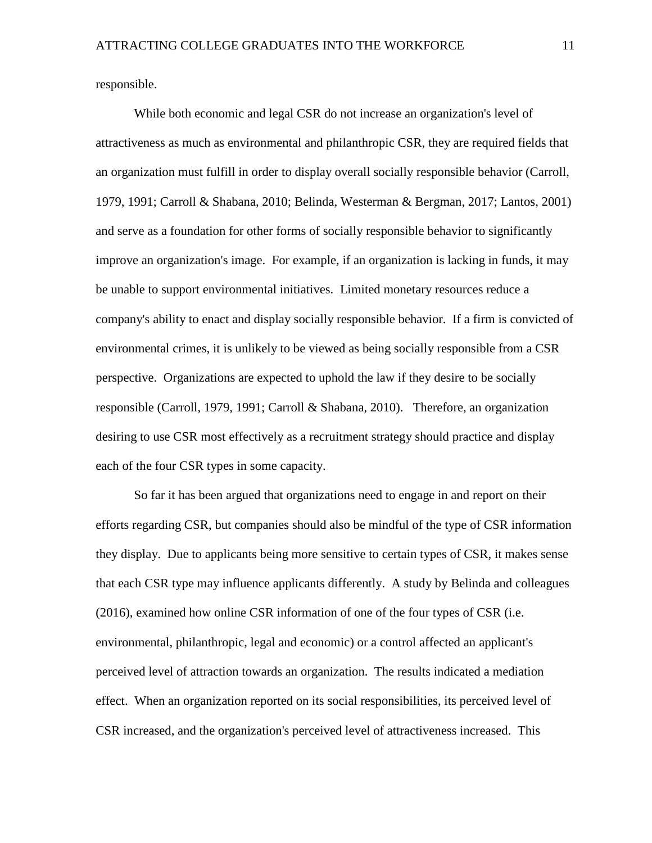responsible.

While both economic and legal CSR do not increase an organization's level of attractiveness as much as environmental and philanthropic CSR, they are required fields that an organization must fulfill in order to display overall socially responsible behavior (Carroll, 1979, 1991; Carroll & Shabana, 2010; Belinda, Westerman & Bergman, 2017; Lantos, 2001) and serve as a foundation for other forms of socially responsible behavior to significantly improve an organization's image. For example, if an organization is lacking in funds, it may be unable to support environmental initiatives. Limited monetary resources reduce a company's ability to enact and display socially responsible behavior. If a firm is convicted of environmental crimes, it is unlikely to be viewed as being socially responsible from a CSR perspective. Organizations are expected to uphold the law if they desire to be socially responsible (Carroll, 1979, 1991; Carroll & Shabana, 2010). Therefore, an organization desiring to use CSR most effectively as a recruitment strategy should practice and display each of the four CSR types in some capacity.

So far it has been argued that organizations need to engage in and report on their efforts regarding CSR, but companies should also be mindful of the type of CSR information they display. Due to applicants being more sensitive to certain types of CSR, it makes sense that each CSR type may influence applicants differently. A study by Belinda and colleagues (2016), examined how online CSR information of one of the four types of CSR (i.e. environmental, philanthropic, legal and economic) or a control affected an applicant's perceived level of attraction towards an organization. The results indicated a mediation effect. When an organization reported on its social responsibilities, its perceived level of CSR increased, and the organization's perceived level of attractiveness increased. This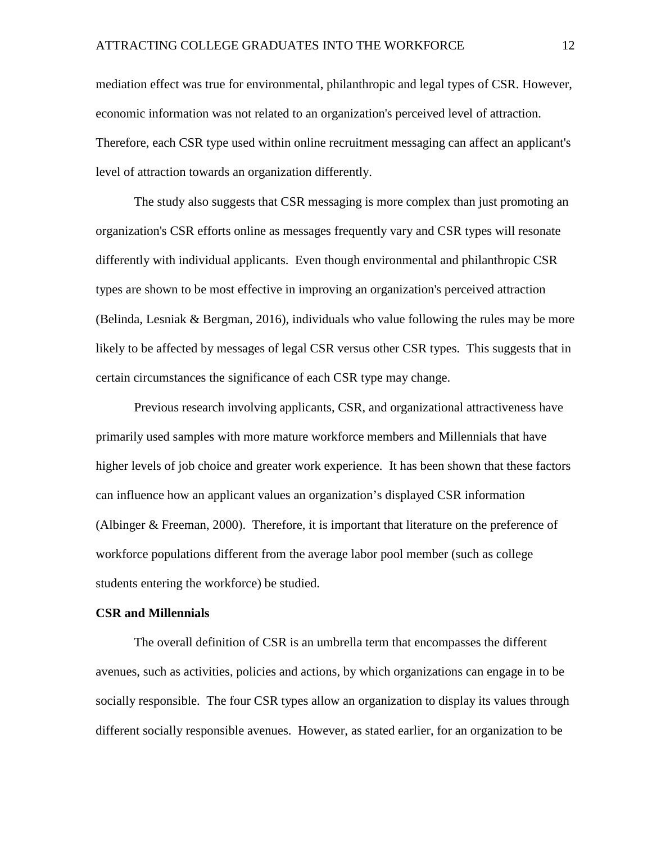mediation effect was true for environmental, philanthropic and legal types of CSR. However, economic information was not related to an organization's perceived level of attraction. Therefore, each CSR type used within online recruitment messaging can affect an applicant's level of attraction towards an organization differently.

The study also suggests that CSR messaging is more complex than just promoting an organization's CSR efforts online as messages frequently vary and CSR types will resonate differently with individual applicants. Even though environmental and philanthropic CSR types are shown to be most effective in improving an organization's perceived attraction (Belinda, Lesniak & Bergman, 2016), individuals who value following the rules may be more likely to be affected by messages of legal CSR versus other CSR types. This suggests that in certain circumstances the significance of each CSR type may change.

Previous research involving applicants, CSR, and organizational attractiveness have primarily used samples with more mature workforce members and Millennials that have higher levels of job choice and greater work experience. It has been shown that these factors can influence how an applicant values an organization's displayed CSR information (Albinger & Freeman, 2000). Therefore, it is important that literature on the preference of workforce populations different from the average labor pool member (such as college students entering the workforce) be studied.

## **CSR and Millennials**

The overall definition of CSR is an umbrella term that encompasses the different avenues, such as activities, policies and actions, by which organizations can engage in to be socially responsible. The four CSR types allow an organization to display its values through different socially responsible avenues. However, as stated earlier, for an organization to be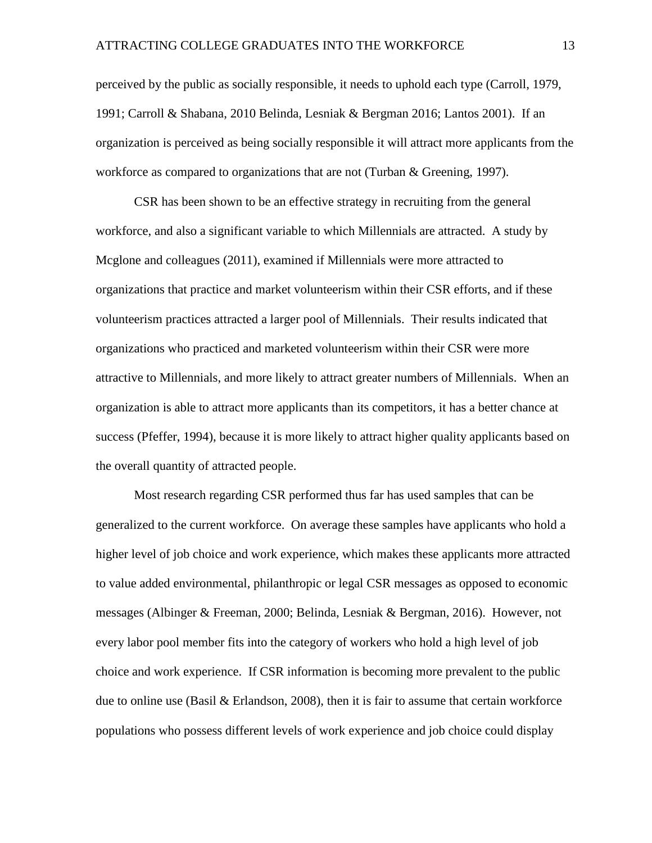perceived by the public as socially responsible, it needs to uphold each type (Carroll, 1979, 1991; Carroll & Shabana, 2010 Belinda, Lesniak & Bergman 2016; Lantos 2001). If an organization is perceived as being socially responsible it will attract more applicants from the workforce as compared to organizations that are not (Turban & Greening, 1997).

CSR has been shown to be an effective strategy in recruiting from the general workforce, and also a significant variable to which Millennials are attracted. A study by Mcglone and colleagues (2011), examined if Millennials were more attracted to organizations that practice and market volunteerism within their CSR efforts, and if these volunteerism practices attracted a larger pool of Millennials. Their results indicated that organizations who practiced and marketed volunteerism within their CSR were more attractive to Millennials, and more likely to attract greater numbers of Millennials. When an organization is able to attract more applicants than its competitors, it has a better chance at success (Pfeffer, 1994), because it is more likely to attract higher quality applicants based on the overall quantity of attracted people.

Most research regarding CSR performed thus far has used samples that can be generalized to the current workforce. On average these samples have applicants who hold a higher level of job choice and work experience, which makes these applicants more attracted to value added environmental, philanthropic or legal CSR messages as opposed to economic messages (Albinger & Freeman, 2000; Belinda, Lesniak & Bergman, 2016). However, not every labor pool member fits into the category of workers who hold a high level of job choice and work experience. If CSR information is becoming more prevalent to the public due to online use (Basil & Erlandson, 2008), then it is fair to assume that certain workforce populations who possess different levels of work experience and job choice could display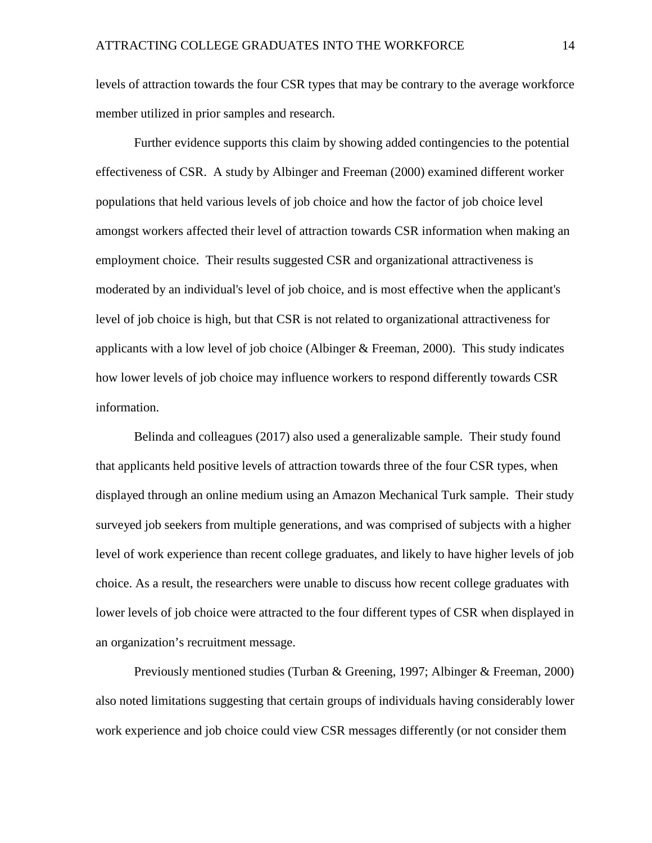levels of attraction towards the four CSR types that may be contrary to the average workforce member utilized in prior samples and research.

Further evidence supports this claim by showing added contingencies to the potential effectiveness of CSR. A study by Albinger and Freeman (2000) examined different worker populations that held various levels of job choice and how the factor of job choice level amongst workers affected their level of attraction towards CSR information when making an employment choice. Their results suggested CSR and organizational attractiveness is moderated by an individual's level of job choice, and is most effective when the applicant's level of job choice is high, but that CSR is not related to organizational attractiveness for applicants with a low level of job choice (Albinger  $&$  Freeman, 2000). This study indicates how lower levels of job choice may influence workers to respond differently towards CSR information.

Belinda and colleagues (2017) also used a generalizable sample. Their study found that applicants held positive levels of attraction towards three of the four CSR types, when displayed through an online medium using an Amazon Mechanical Turk sample. Their study surveyed job seekers from multiple generations, and was comprised of subjects with a higher level of work experience than recent college graduates, and likely to have higher levels of job choice. As a result, the researchers were unable to discuss how recent college graduates with lower levels of job choice were attracted to the four different types of CSR when displayed in an organization's recruitment message.

Previously mentioned studies (Turban & Greening, 1997; Albinger & Freeman, 2000) also noted limitations suggesting that certain groups of individuals having considerably lower work experience and job choice could view CSR messages differently (or not consider them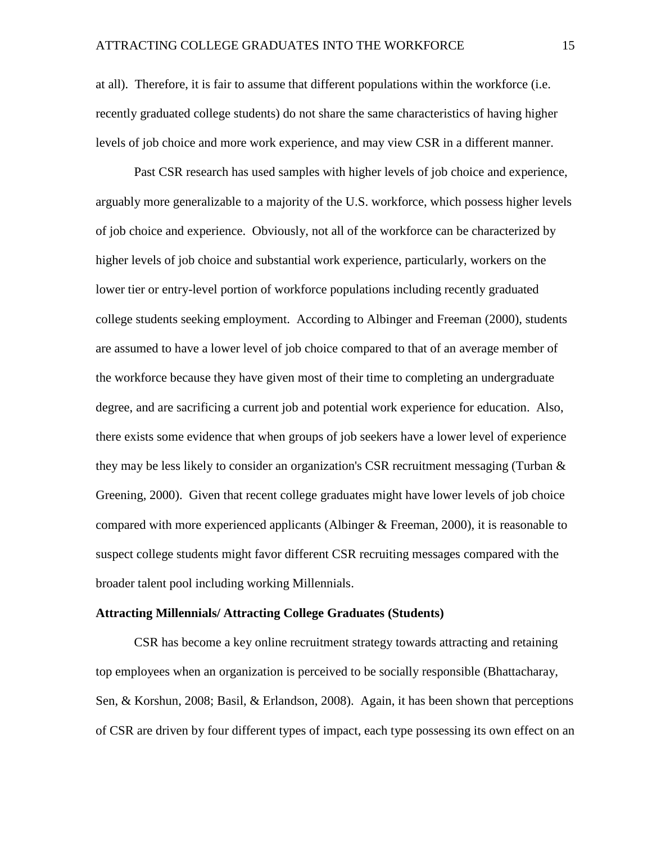at all). Therefore, it is fair to assume that different populations within the workforce (i.e. recently graduated college students) do not share the same characteristics of having higher levels of job choice and more work experience, and may view CSR in a different manner.

Past CSR research has used samples with higher levels of job choice and experience, arguably more generalizable to a majority of the U.S. workforce, which possess higher levels of job choice and experience. Obviously, not all of the workforce can be characterized by higher levels of job choice and substantial work experience, particularly, workers on the lower tier or entry-level portion of workforce populations including recently graduated college students seeking employment. According to Albinger and Freeman (2000), students are assumed to have a lower level of job choice compared to that of an average member of the workforce because they have given most of their time to completing an undergraduate degree, and are sacrificing a current job and potential work experience for education. Also, there exists some evidence that when groups of job seekers have a lower level of experience they may be less likely to consider an organization's CSR recruitment messaging (Turban & Greening, 2000). Given that recent college graduates might have lower levels of job choice compared with more experienced applicants (Albinger & Freeman, 2000), it is reasonable to suspect college students might favor different CSR recruiting messages compared with the broader talent pool including working Millennials.

### **Attracting Millennials/ Attracting College Graduates (Students)**

CSR has become a key online recruitment strategy towards attracting and retaining top employees when an organization is perceived to be socially responsible (Bhattacharay, Sen, & Korshun, 2008; Basil, & Erlandson, 2008). Again, it has been shown that perceptions of CSR are driven by four different types of impact, each type possessing its own effect on an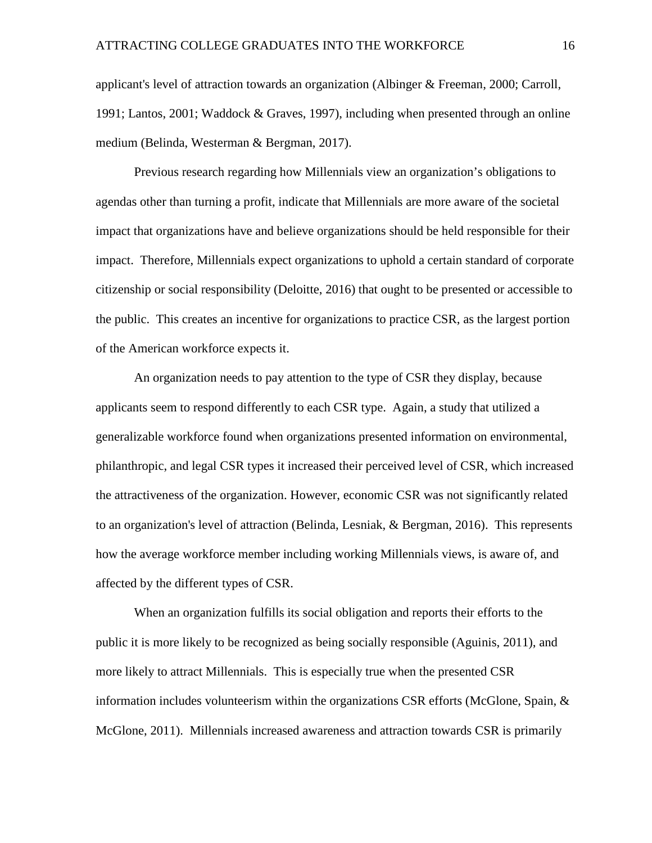applicant's level of attraction towards an organization (Albinger & Freeman, 2000; Carroll, 1991; Lantos, 2001; Waddock & Graves, 1997), including when presented through an online medium (Belinda, Westerman & Bergman, 2017).

Previous research regarding how Millennials view an organization's obligations to agendas other than turning a profit, indicate that Millennials are more aware of the societal impact that organizations have and believe organizations should be held responsible for their impact. Therefore, Millennials expect organizations to uphold a certain standard of corporate citizenship or social responsibility (Deloitte, 2016) that ought to be presented or accessible to the public. This creates an incentive for organizations to practice CSR, as the largest portion of the American workforce expects it.

An organization needs to pay attention to the type of CSR they display, because applicants seem to respond differently to each CSR type. Again, a study that utilized a generalizable workforce found when organizations presented information on environmental, philanthropic, and legal CSR types it increased their perceived level of CSR, which increased the attractiveness of the organization. However, economic CSR was not significantly related to an organization's level of attraction (Belinda, Lesniak, & Bergman, 2016). This represents how the average workforce member including working Millennials views, is aware of, and affected by the different types of CSR.

When an organization fulfills its social obligation and reports their efforts to the public it is more likely to be recognized as being socially responsible (Aguinis, 2011), and more likely to attract Millennials. This is especially true when the presented CSR information includes volunteerism within the organizations CSR efforts (McGlone, Spain,  $\&$ McGlone, 2011). Millennials increased awareness and attraction towards CSR is primarily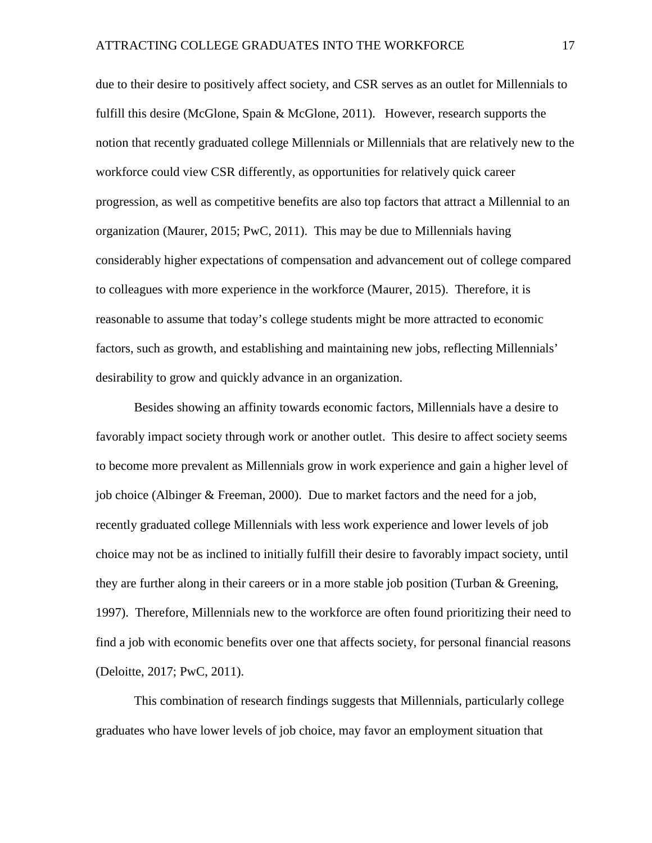due to their desire to positively affect society, and CSR serves as an outlet for Millennials to fulfill this desire (McGlone, Spain & McGlone, 2011). However, research supports the notion that recently graduated college Millennials or Millennials that are relatively new to the workforce could view CSR differently, as opportunities for relatively quick career progression, as well as competitive benefits are also top factors that attract a Millennial to an organization (Maurer, 2015; PwC, 2011). This may be due to Millennials having considerably higher expectations of compensation and advancement out of college compared to colleagues with more experience in the workforce (Maurer, 2015). Therefore, it is reasonable to assume that today's college students might be more attracted to economic factors, such as growth, and establishing and maintaining new jobs, reflecting Millennials' desirability to grow and quickly advance in an organization.

Besides showing an affinity towards economic factors, Millennials have a desire to favorably impact society through work or another outlet. This desire to affect society seems to become more prevalent as Millennials grow in work experience and gain a higher level of job choice (Albinger & Freeman, 2000). Due to market factors and the need for a job, recently graduated college Millennials with less work experience and lower levels of job choice may not be as inclined to initially fulfill their desire to favorably impact society, until they are further along in their careers or in a more stable job position (Turban & Greening, 1997). Therefore, Millennials new to the workforce are often found prioritizing their need to find a job with economic benefits over one that affects society, for personal financial reasons (Deloitte, 2017; PwC, 2011).

This combination of research findings suggests that Millennials, particularly college graduates who have lower levels of job choice, may favor an employment situation that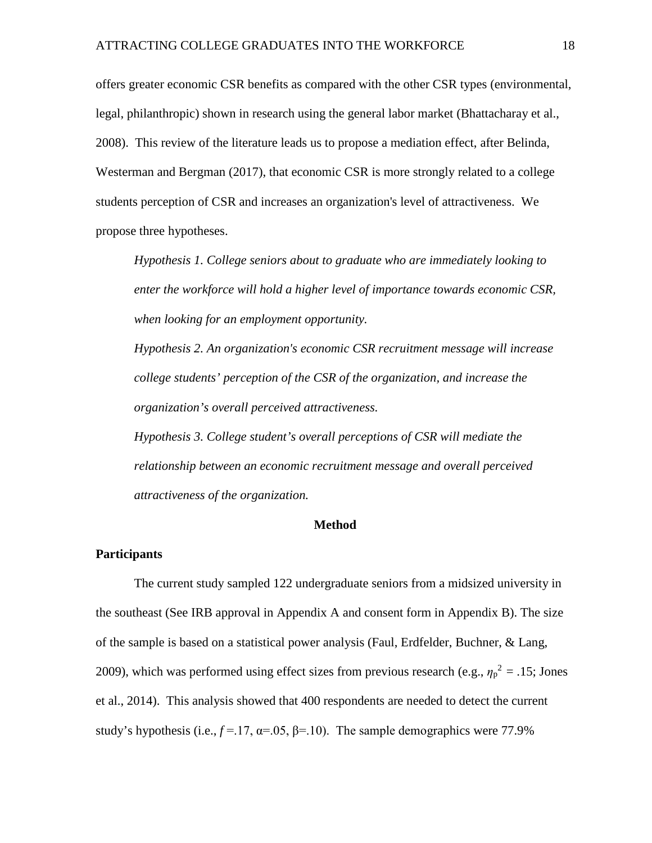offers greater economic CSR benefits as compared with the other CSR types (environmental, legal, philanthropic) shown in research using the general labor market (Bhattacharay et al., 2008). This review of the literature leads us to propose a mediation effect, after Belinda, Westerman and Bergman (2017), that economic CSR is more strongly related to a college students perception of CSR and increases an organization's level of attractiveness. We propose three hypotheses.

*Hypothesis 1. College seniors about to graduate who are immediately looking to enter the workforce will hold a higher level of importance towards economic CSR, when looking for an employment opportunity.* 

*Hypothesis 2. An organization's economic CSR recruitment message will increase college students' perception of the CSR of the organization, and increase the organization's overall perceived attractiveness.*

*Hypothesis 3. College student's overall perceptions of CSR will mediate the relationship between an economic recruitment message and overall perceived attractiveness of the organization.*

#### **Method**

## **Participants**

The current study sampled 122 undergraduate seniors from a midsized university in the southeast (See IRB approval in Appendix A and consent form in Appendix B). The size of the sample is based on a statistical power analysis (Faul, Erdfelder, Buchner, & Lang, 2009), which was performed using effect sizes from previous research (e.g.,  $\eta_p^2 = 0.15$ ; Jones et al., 2014). This analysis showed that 400 respondents are needed to detect the current study's hypothesis (i.e.,  $f = 17$ ,  $\alpha = .05$ ,  $\beta = .10$ ). The sample demographics were 77.9%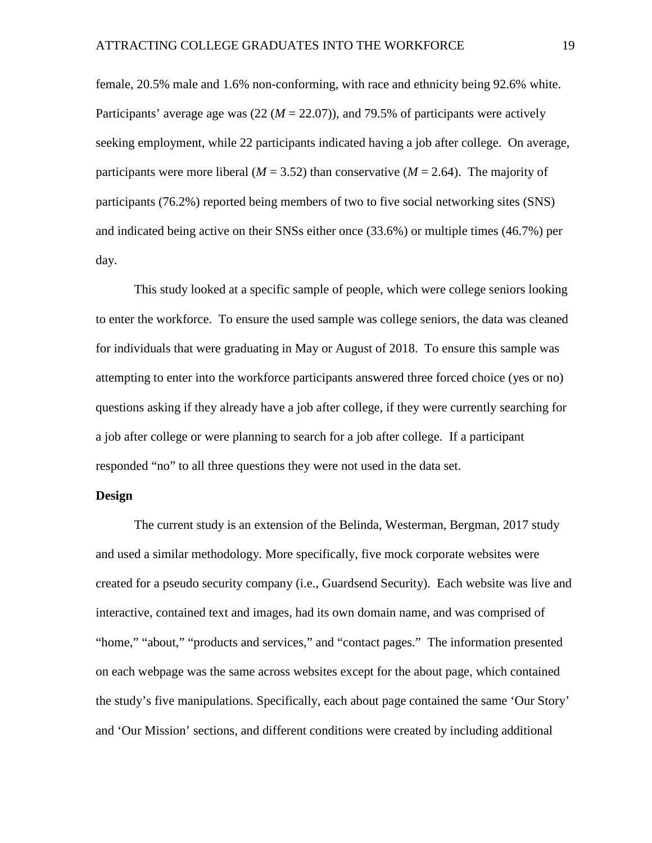female, 20.5% male and 1.6% non-conforming, with race and ethnicity being 92.6% white. Participants' average age was  $(22 (M = 22.07))$ , and 79.5% of participants were actively seeking employment, while 22 participants indicated having a job after college. On average, participants were more liberal ( $M = 3.52$ ) than conservative ( $M = 2.64$ ). The majority of participants (76.2%) reported being members of two to five social networking sites (SNS) and indicated being active on their SNSs either once (33.6%) or multiple times (46.7%) per day.

This study looked at a specific sample of people, which were college seniors looking to enter the workforce. To ensure the used sample was college seniors, the data was cleaned for individuals that were graduating in May or August of 2018. To ensure this sample was attempting to enter into the workforce participants answered three forced choice (yes or no) questions asking if they already have a job after college, if they were currently searching for a job after college or were planning to search for a job after college. If a participant responded "no" to all three questions they were not used in the data set.

## **Design**

The current study is an extension of the Belinda, Westerman, Bergman, 2017 study and used a similar methodology. More specifically, five mock corporate websites were created for a pseudo security company (i.e., Guardsend Security). Each website was live and interactive, contained text and images, had its own domain name, and was comprised of "home," "about," "products and services," and "contact pages." The information presented on each webpage was the same across websites except for the about page, which contained the study's five manipulations. Specifically, each about page contained the same 'Our Story' and 'Our Mission' sections, and different conditions were created by including additional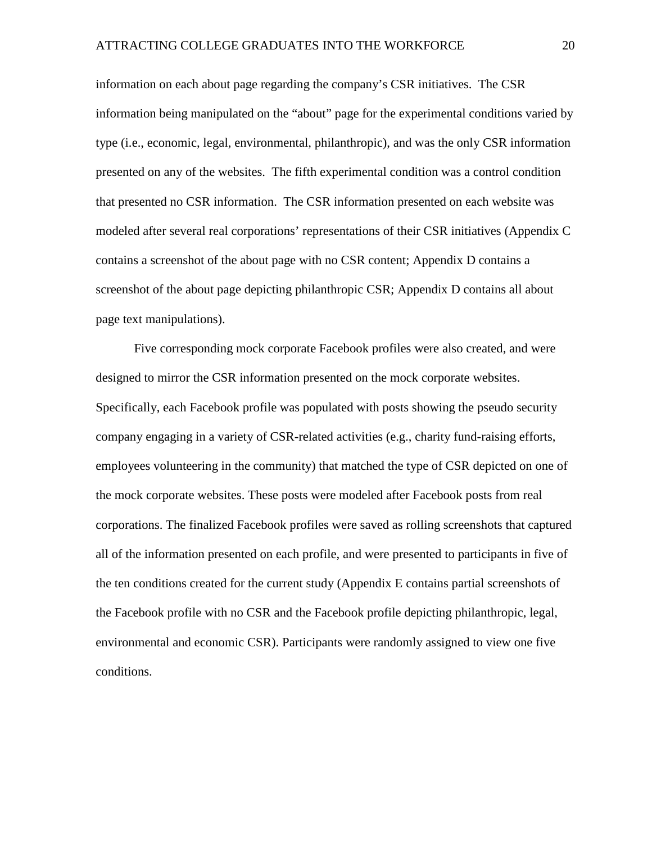information on each about page regarding the company's CSR initiatives. The CSR information being manipulated on the "about" page for the experimental conditions varied by type (i.e., economic, legal, environmental, philanthropic), and was the only CSR information presented on any of the websites. The fifth experimental condition was a control condition that presented no CSR information. The CSR information presented on each website was modeled after several real corporations' representations of their CSR initiatives (Appendix C contains a screenshot of the about page with no CSR content; Appendix D contains a screenshot of the about page depicting philanthropic CSR; Appendix D contains all about page text manipulations).

Five corresponding mock corporate Facebook profiles were also created, and were designed to mirror the CSR information presented on the mock corporate websites. Specifically, each Facebook profile was populated with posts showing the pseudo security company engaging in a variety of CSR-related activities (e.g., charity fund-raising efforts, employees volunteering in the community) that matched the type of CSR depicted on one of the mock corporate websites. These posts were modeled after Facebook posts from real corporations. The finalized Facebook profiles were saved as rolling screenshots that captured all of the information presented on each profile, and were presented to participants in five of the ten conditions created for the current study (Appendix E contains partial screenshots of the Facebook profile with no CSR and the Facebook profile depicting philanthropic, legal, environmental and economic CSR). Participants were randomly assigned to view one five conditions.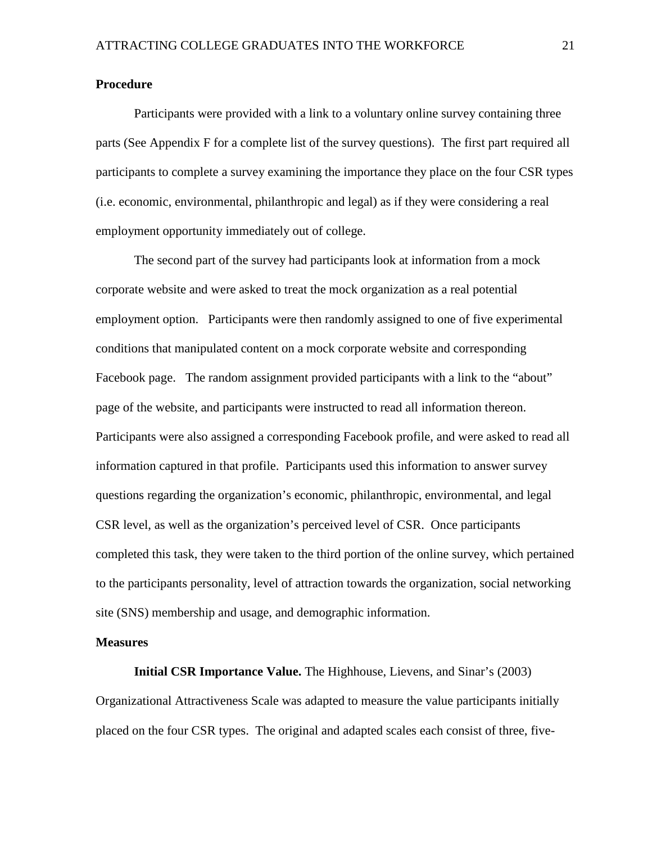## **Procedure**

Participants were provided with a link to a voluntary online survey containing three parts (See Appendix F for a complete list of the survey questions). The first part required all participants to complete a survey examining the importance they place on the four CSR types (i.e. economic, environmental, philanthropic and legal) as if they were considering a real employment opportunity immediately out of college.

The second part of the survey had participants look at information from a mock corporate website and were asked to treat the mock organization as a real potential employment option. Participants were then randomly assigned to one of five experimental conditions that manipulated content on a mock corporate website and corresponding Facebook page. The random assignment provided participants with a link to the "about" page of the website, and participants were instructed to read all information thereon. Participants were also assigned a corresponding Facebook profile, and were asked to read all information captured in that profile. Participants used this information to answer survey questions regarding the organization's economic, philanthropic, environmental, and legal CSR level, as well as the organization's perceived level of CSR. Once participants completed this task, they were taken to the third portion of the online survey, which pertained to the participants personality, level of attraction towards the organization, social networking site (SNS) membership and usage, and demographic information.

### **Measures**

**Initial CSR Importance Value.** The Highhouse, Lievens, and Sinar's (2003) Organizational Attractiveness Scale was adapted to measure the value participants initially placed on the four CSR types. The original and adapted scales each consist of three, five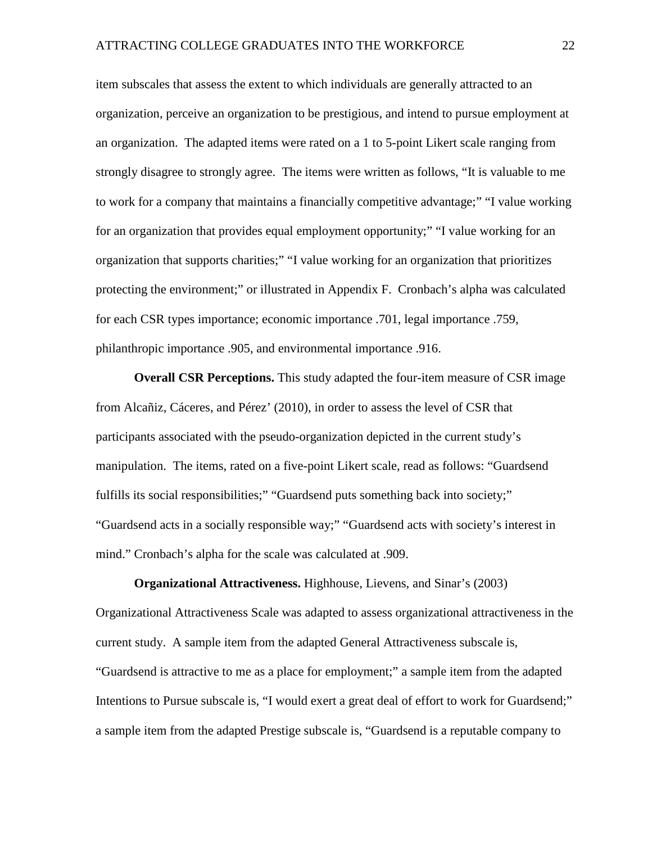item subscales that assess the extent to which individuals are generally attracted to an organization, perceive an organization to be prestigious, and intend to pursue employment at an organization. The adapted items were rated on a 1 to 5-point Likert scale ranging from strongly disagree to strongly agree. The items were written as follows, "It is valuable to me to work for a company that maintains a financially competitive advantage;" "I value working for an organization that provides equal employment opportunity;" "I value working for an organization that supports charities;" "I value working for an organization that prioritizes protecting the environment;" or illustrated in Appendix F. Cronbach's alpha was calculated for each CSR types importance; economic importance .701, legal importance .759, philanthropic importance .905, and environmental importance .916.

**Overall CSR Perceptions.** This study adapted the four-item measure of CSR image from Alcañiz, Cáceres, and Pérez' (2010), in order to assess the level of CSR that participants associated with the pseudo-organization depicted in the current study's manipulation. The items, rated on a five-point Likert scale, read as follows: "Guardsend fulfills its social responsibilities;" "Guardsend puts something back into society;" "Guardsend acts in a socially responsible way;" "Guardsend acts with society's interest in mind." Cronbach's alpha for the scale was calculated at .909.

# **Organizational Attractiveness.** Highhouse, Lievens, and Sinar's (2003)

Organizational Attractiveness Scale was adapted to assess organizational attractiveness in the current study. A sample item from the adapted General Attractiveness subscale is, "Guardsend is attractive to me as a place for employment;" a sample item from the adapted Intentions to Pursue subscale is, "I would exert a great deal of effort to work for Guardsend;" a sample item from the adapted Prestige subscale is, "Guardsend is a reputable company to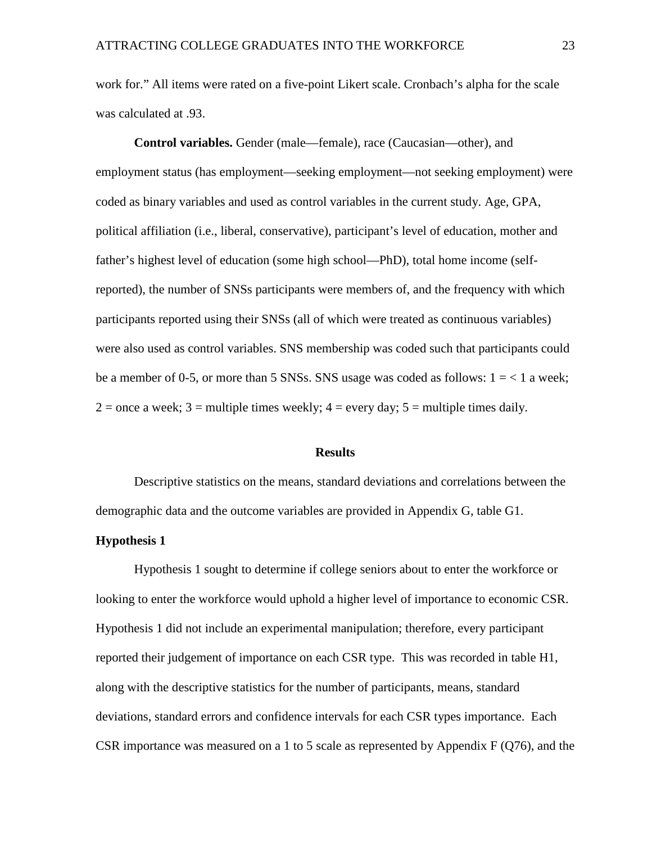work for." All items were rated on a five-point Likert scale. Cronbach's alpha for the scale was calculated at .93.

**Control variables.** Gender (male—female), race (Caucasian—other), and employment status (has employment—seeking employment—not seeking employment) were coded as binary variables and used as control variables in the current study. Age, GPA, political affiliation (i.e., liberal, conservative), participant's level of education, mother and father's highest level of education (some high school—PhD), total home income (selfreported), the number of SNSs participants were members of, and the frequency with which participants reported using their SNSs (all of which were treated as continuous variables) were also used as control variables. SNS membership was coded such that participants could be a member of 0-5, or more than 5 SNSs. SNS usage was coded as follows:  $1 = 1$  a week;  $2 =$  once a week;  $3 =$  multiple times weekly;  $4 =$  every day;  $5 =$  multiple times daily.

#### **Results**

Descriptive statistics on the means, standard deviations and correlations between the demographic data and the outcome variables are provided in Appendix G, table G1.

## **Hypothesis 1**

Hypothesis 1 sought to determine if college seniors about to enter the workforce or looking to enter the workforce would uphold a higher level of importance to economic CSR. Hypothesis 1 did not include an experimental manipulation; therefore, every participant reported their judgement of importance on each CSR type. This was recorded in table H1, along with the descriptive statistics for the number of participants, means, standard deviations, standard errors and confidence intervals for each CSR types importance. Each CSR importance was measured on a 1 to 5 scale as represented by Appendix F (Q76), and the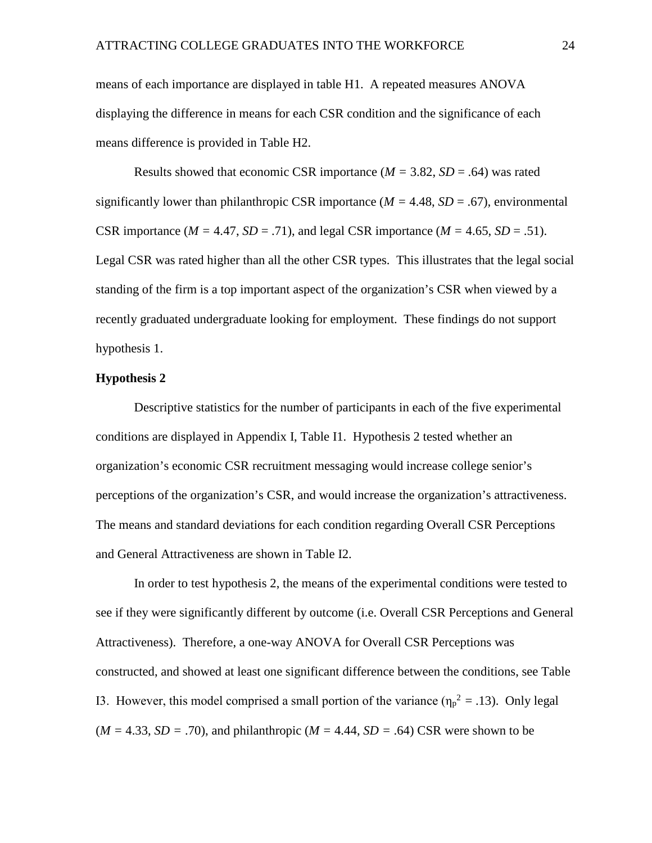means of each importance are displayed in table H1. A repeated measures ANOVA displaying the difference in means for each CSR condition and the significance of each means difference is provided in Table H2.

Results showed that economic CSR importance  $(M = 3.82, SD = .64)$  was rated significantly lower than philanthropic CSR importance  $(M = 4.48, SD = .67)$ , environmental CSR importance ( $M = 4.47$ ,  $SD = .71$ ), and legal CSR importance ( $M = 4.65$ ,  $SD = .51$ ). Legal CSR was rated higher than all the other CSR types. This illustrates that the legal social standing of the firm is a top important aspect of the organization's CSR when viewed by a recently graduated undergraduate looking for employment. These findings do not support hypothesis 1.

## **Hypothesis 2**

Descriptive statistics for the number of participants in each of the five experimental conditions are displayed in Appendix I, Table I1. Hypothesis 2 tested whether an organization's economic CSR recruitment messaging would increase college senior's perceptions of the organization's CSR, and would increase the organization's attractiveness. The means and standard deviations for each condition regarding Overall CSR Perceptions and General Attractiveness are shown in Table I2.

In order to test hypothesis 2, the means of the experimental conditions were tested to see if they were significantly different by outcome (i.e. Overall CSR Perceptions and General Attractiveness). Therefore, a one-way ANOVA for Overall CSR Perceptions was constructed, and showed at least one significant difference between the conditions, see Table I3. However, this model comprised a small portion of the variance  $(\eta_p^2 = .13)$ . Only legal  $(M = 4.33, SD = .70)$ , and philanthropic  $(M = 4.44, SD = .64)$  CSR were shown to be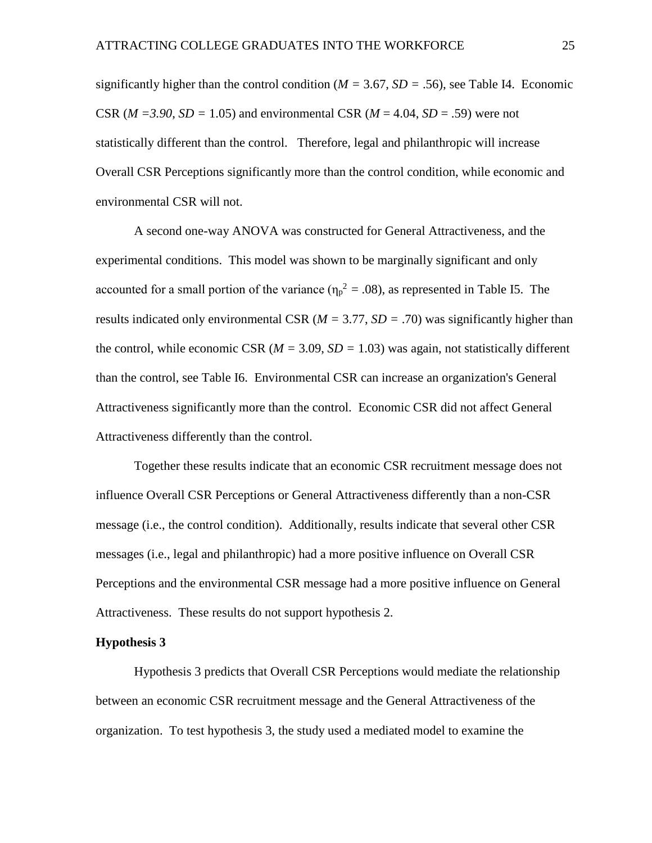significantly higher than the control condition ( $M = 3.67$ ,  $SD = .56$ ), see Table I4. Economic CSR ( $M = 3.90$ ,  $SD = 1.05$ ) and environmental CSR ( $M = 4.04$ ,  $SD = .59$ ) were not statistically different than the control.Therefore, legal and philanthropic will increase Overall CSR Perceptions significantly more than the control condition, while economic and environmental CSR will not.

A second one-way ANOVA was constructed for General Attractiveness, and the experimental conditions. This model was shown to be marginally significant and only accounted for a small portion of the variance  $(\eta_p^2 = .08)$ , as represented in Table I5. The results indicated only environmental CSR  $(M = 3.77, SD = .70)$  was significantly higher than the control, while economic CSR  $(M = 3.09, SD = 1.03)$  was again, not statistically different than the control, see Table I6. Environmental CSR can increase an organization's General Attractiveness significantly more than the control. Economic CSR did not affect General Attractiveness differently than the control.

Together these results indicate that an economic CSR recruitment message does not influence Overall CSR Perceptions or General Attractiveness differently than a non-CSR message (i.e., the control condition). Additionally, results indicate that several other CSR messages (i.e., legal and philanthropic) had a more positive influence on Overall CSR Perceptions and the environmental CSR message had a more positive influence on General Attractiveness. These results do not support hypothesis 2.

## **Hypothesis 3**

Hypothesis 3 predicts that Overall CSR Perceptions would mediate the relationship between an economic CSR recruitment message and the General Attractiveness of the organization. To test hypothesis 3, the study used a mediated model to examine the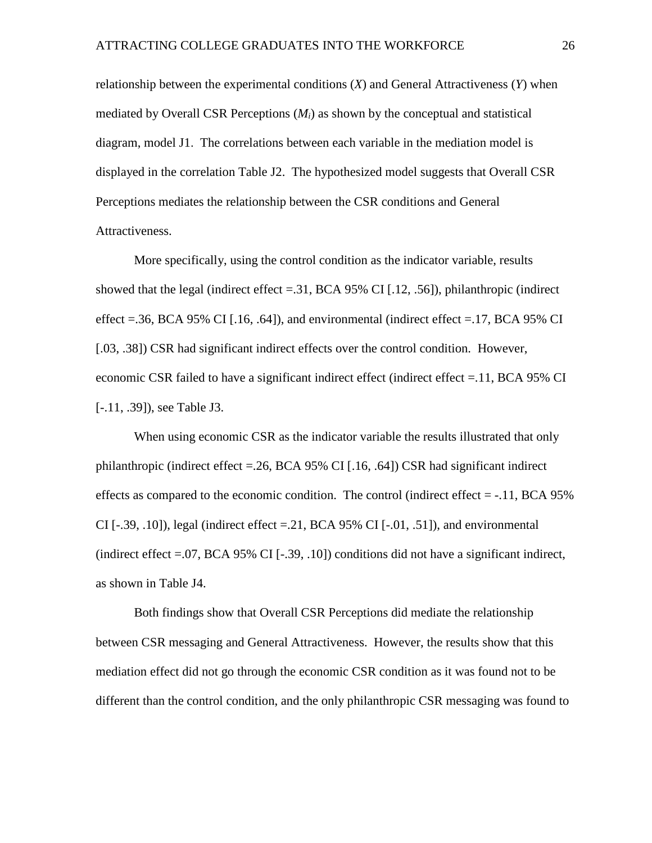relationship between the experimental conditions (*X*) and General Attractiveness (*Y*) when mediated by Overall CSR Perceptions (*Mi*) as shown by the conceptual and statistical diagram, model J1. The correlations between each variable in the mediation model is displayed in the correlation Table J2. The hypothesized model suggests that Overall CSR Perceptions mediates the relationship between the CSR conditions and General Attractiveness.

More specifically, using the control condition as the indicator variable, results showed that the legal (indirect effect  $=$  31, BCA 95% CI [.12, .56]), philanthropic (indirect effect =.36, BCA 95% CI [.16, .64]), and environmental (indirect effect =.17, BCA 95% CI [.03, .38]) CSR had significant indirect effects over the control condition. However, economic CSR failed to have a significant indirect effect (indirect effect =.11, BCA 95% CI [-.11, .39]), see Table J3.

When using economic CSR as the indicator variable the results illustrated that only philanthropic (indirect effect =.26, BCA 95% CI [.16, .64]) CSR had significant indirect effects as compared to the economic condition. The control (indirect effect  $= -11$ , BCA 95% CI  $[-.39, .10]$ , legal (indirect effect  $= 21$ , BCA 95% CI  $[-.01, .51]$ ), and environmental (indirect effect =.07, BCA 95% CI [-.39, .10]) conditions did not have a significant indirect, as shown in Table J4.

Both findings show that Overall CSR Perceptions did mediate the relationship between CSR messaging and General Attractiveness. However, the results show that this mediation effect did not go through the economic CSR condition as it was found not to be different than the control condition, and the only philanthropic CSR messaging was found to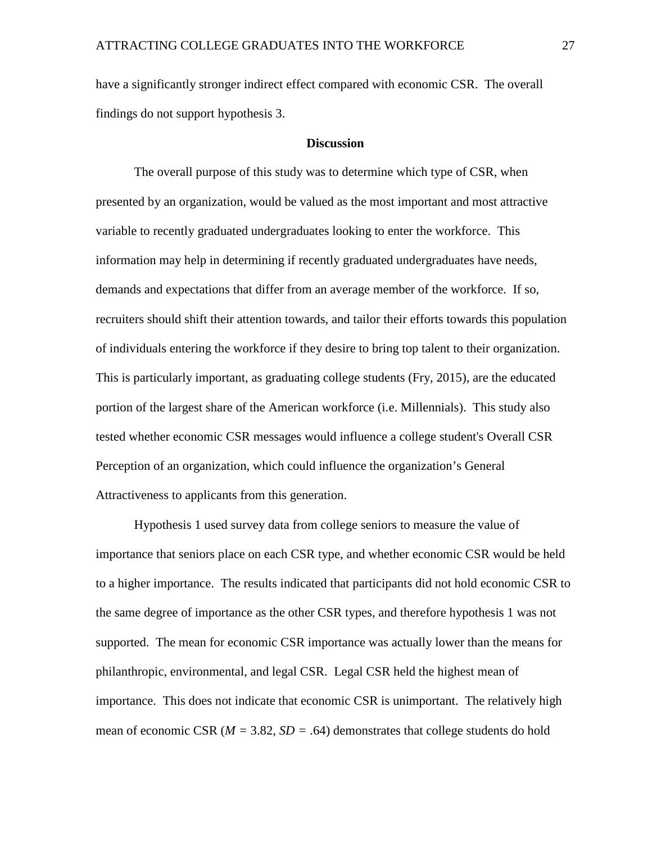have a significantly stronger indirect effect compared with economic CSR. The overall findings do not support hypothesis 3.

### **Discussion**

The overall purpose of this study was to determine which type of CSR, when presented by an organization, would be valued as the most important and most attractive variable to recently graduated undergraduates looking to enter the workforce. This information may help in determining if recently graduated undergraduates have needs, demands and expectations that differ from an average member of the workforce. If so, recruiters should shift their attention towards, and tailor their efforts towards this population of individuals entering the workforce if they desire to bring top talent to their organization. This is particularly important, as graduating college students (Fry, 2015), are the educated portion of the largest share of the American workforce (i.e. Millennials). This study also tested whether economic CSR messages would influence a college student's Overall CSR Perception of an organization, which could influence the organization's General Attractiveness to applicants from this generation.

Hypothesis 1 used survey data from college seniors to measure the value of importance that seniors place on each CSR type, and whether economic CSR would be held to a higher importance. The results indicated that participants did not hold economic CSR to the same degree of importance as the other CSR types, and therefore hypothesis 1 was not supported. The mean for economic CSR importance was actually lower than the means for philanthropic, environmental, and legal CSR. Legal CSR held the highest mean of importance. This does not indicate that economic CSR is unimportant. The relatively high mean of economic CSR ( $M = 3.82$ ,  $SD = .64$ ) demonstrates that college students do hold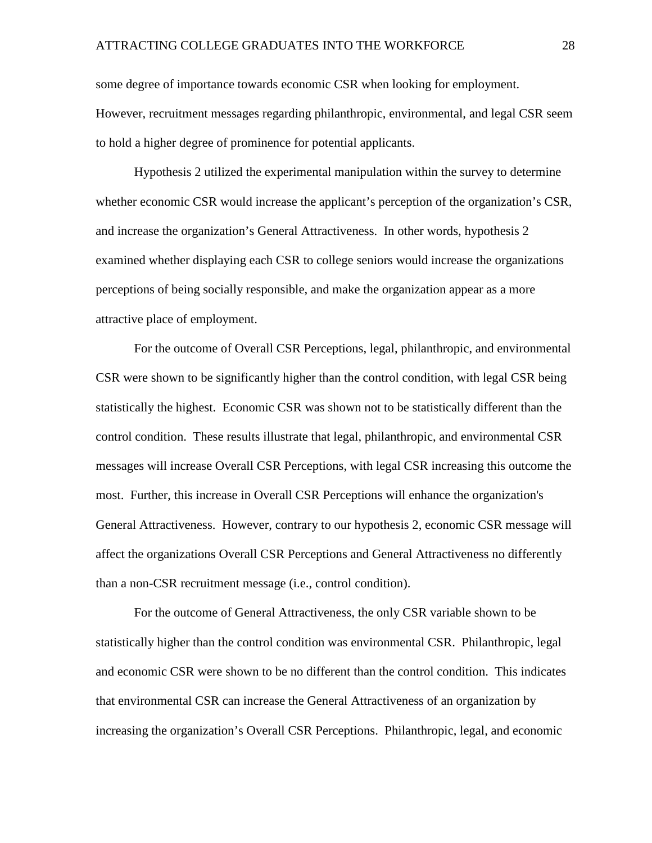some degree of importance towards economic CSR when looking for employment. However, recruitment messages regarding philanthropic, environmental, and legal CSR seem to hold a higher degree of prominence for potential applicants.

Hypothesis 2 utilized the experimental manipulation within the survey to determine whether economic CSR would increase the applicant's perception of the organization's CSR, and increase the organization's General Attractiveness. In other words, hypothesis 2 examined whether displaying each CSR to college seniors would increase the organizations perceptions of being socially responsible, and make the organization appear as a more attractive place of employment.

For the outcome of Overall CSR Perceptions, legal, philanthropic, and environmental CSR were shown to be significantly higher than the control condition, with legal CSR being statistically the highest. Economic CSR was shown not to be statistically different than the control condition. These results illustrate that legal, philanthropic, and environmental CSR messages will increase Overall CSR Perceptions, with legal CSR increasing this outcome the most. Further, this increase in Overall CSR Perceptions will enhance the organization's General Attractiveness. However, contrary to our hypothesis 2, economic CSR message will affect the organizations Overall CSR Perceptions and General Attractiveness no differently than a non-CSR recruitment message (i.e., control condition).

For the outcome of General Attractiveness, the only CSR variable shown to be statistically higher than the control condition was environmental CSR. Philanthropic, legal and economic CSR were shown to be no different than the control condition. This indicates that environmental CSR can increase the General Attractiveness of an organization by increasing the organization's Overall CSR Perceptions. Philanthropic, legal, and economic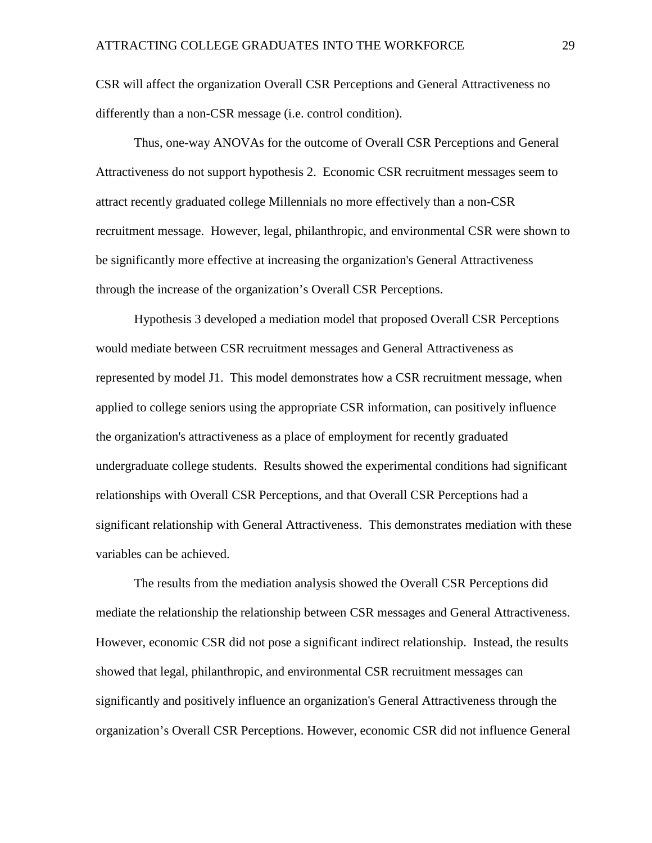CSR will affect the organization Overall CSR Perceptions and General Attractiveness no differently than a non-CSR message (i.e. control condition).

Thus, one-way ANOVAs for the outcome of Overall CSR Perceptions and General Attractiveness do not support hypothesis 2. Economic CSR recruitment messages seem to attract recently graduated college Millennials no more effectively than a non-CSR recruitment message. However, legal, philanthropic, and environmental CSR were shown to be significantly more effective at increasing the organization's General Attractiveness through the increase of the organization's Overall CSR Perceptions.

Hypothesis 3 developed a mediation model that proposed Overall CSR Perceptions would mediate between CSR recruitment messages and General Attractiveness as represented by model J1. This model demonstrates how a CSR recruitment message, when applied to college seniors using the appropriate CSR information, can positively influence the organization's attractiveness as a place of employment for recently graduated undergraduate college students. Results showed the experimental conditions had significant relationships with Overall CSR Perceptions, and that Overall CSR Perceptions had a significant relationship with General Attractiveness. This demonstrates mediation with these variables can be achieved.

The results from the mediation analysis showed the Overall CSR Perceptions did mediate the relationship the relationship between CSR messages and General Attractiveness. However, economic CSR did not pose a significant indirect relationship. Instead, the results showed that legal, philanthropic, and environmental CSR recruitment messages can significantly and positively influence an organization's General Attractiveness through the organization's Overall CSR Perceptions. However, economic CSR did not influence General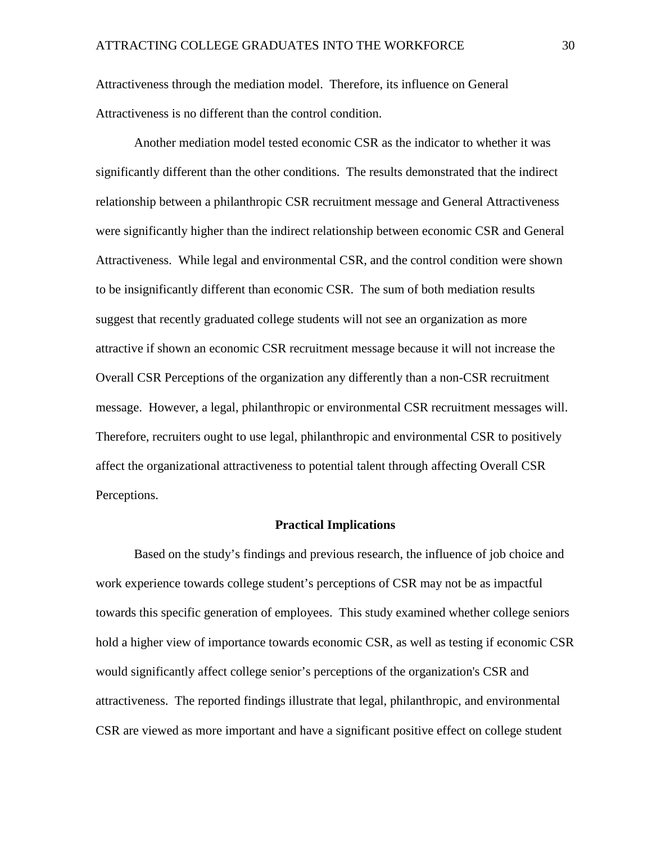Attractiveness through the mediation model. Therefore, its influence on General Attractiveness is no different than the control condition.

Another mediation model tested economic CSR as the indicator to whether it was significantly different than the other conditions. The results demonstrated that the indirect relationship between a philanthropic CSR recruitment message and General Attractiveness were significantly higher than the indirect relationship between economic CSR and General Attractiveness. While legal and environmental CSR, and the control condition were shown to be insignificantly different than economic CSR. The sum of both mediation results suggest that recently graduated college students will not see an organization as more attractive if shown an economic CSR recruitment message because it will not increase the Overall CSR Perceptions of the organization any differently than a non-CSR recruitment message. However, a legal, philanthropic or environmental CSR recruitment messages will. Therefore, recruiters ought to use legal, philanthropic and environmental CSR to positively affect the organizational attractiveness to potential talent through affecting Overall CSR Perceptions.

#### **Practical Implications**

Based on the study's findings and previous research, the influence of job choice and work experience towards college student's perceptions of CSR may not be as impactful towards this specific generation of employees. This study examined whether college seniors hold a higher view of importance towards economic CSR, as well as testing if economic CSR would significantly affect college senior's perceptions of the organization's CSR and attractiveness. The reported findings illustrate that legal, philanthropic, and environmental CSR are viewed as more important and have a significant positive effect on college student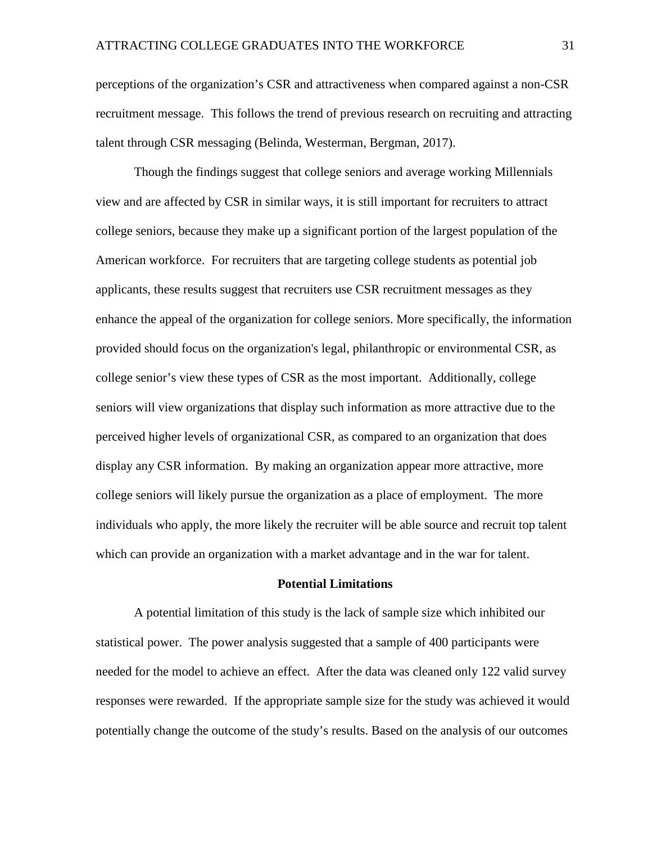perceptions of the organization's CSR and attractiveness when compared against a non-CSR recruitment message. This follows the trend of previous research on recruiting and attracting talent through CSR messaging (Belinda, Westerman, Bergman, 2017).

Though the findings suggest that college seniors and average working Millennials view and are affected by CSR in similar ways, it is still important for recruiters to attract college seniors, because they make up a significant portion of the largest population of the American workforce. For recruiters that are targeting college students as potential job applicants, these results suggest that recruiters use CSR recruitment messages as they enhance the appeal of the organization for college seniors. More specifically, the information provided should focus on the organization's legal, philanthropic or environmental CSR, as college senior's view these types of CSR as the most important. Additionally, college seniors will view organizations that display such information as more attractive due to the perceived higher levels of organizational CSR, as compared to an organization that does display any CSR information. By making an organization appear more attractive, more college seniors will likely pursue the organization as a place of employment. The more individuals who apply, the more likely the recruiter will be able source and recruit top talent which can provide an organization with a market advantage and in the war for talent.

### **Potential Limitations**

A potential limitation of this study is the lack of sample size which inhibited our statistical power. The power analysis suggested that a sample of 400 participants were needed for the model to achieve an effect. After the data was cleaned only 122 valid survey responses were rewarded. If the appropriate sample size for the study was achieved it would potentially change the outcome of the study's results. Based on the analysis of our outcomes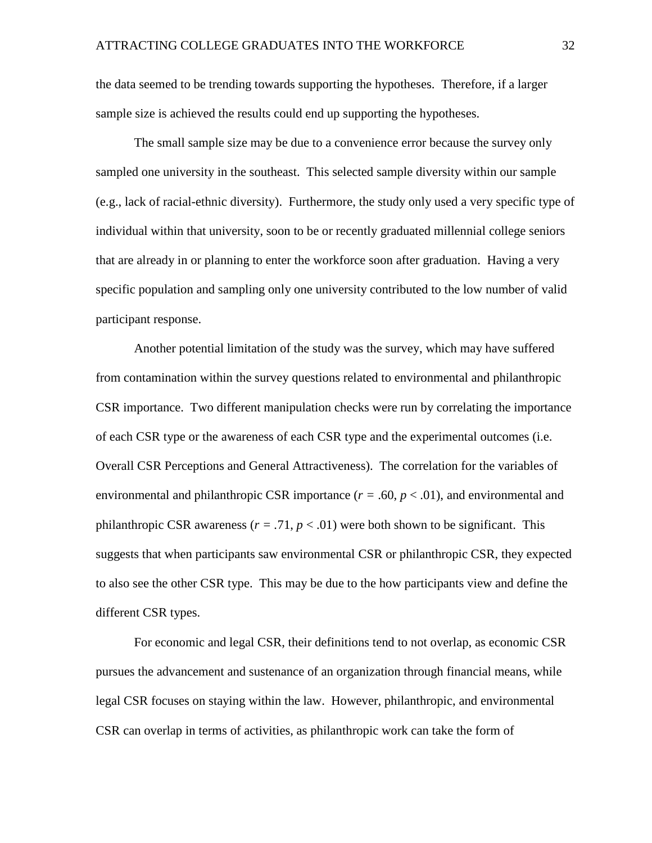the data seemed to be trending towards supporting the hypotheses. Therefore, if a larger sample size is achieved the results could end up supporting the hypotheses.

The small sample size may be due to a convenience error because the survey only sampled one university in the southeast. This selected sample diversity within our sample (e.g., lack of racial-ethnic diversity). Furthermore, the study only used a very specific type of individual within that university, soon to be or recently graduated millennial college seniors that are already in or planning to enter the workforce soon after graduation. Having a very specific population and sampling only one university contributed to the low number of valid participant response.

Another potential limitation of the study was the survey, which may have suffered from contamination within the survey questions related to environmental and philanthropic CSR importance. Two different manipulation checks were run by correlating the importance of each CSR type or the awareness of each CSR type and the experimental outcomes (i.e. Overall CSR Perceptions and General Attractiveness). The correlation for the variables of environmental and philanthropic CSR importance  $(r = .60, p < .01)$ , and environmental and philanthropic CSR awareness  $(r = .71, p < .01)$  were both shown to be significant. This suggests that when participants saw environmental CSR or philanthropic CSR, they expected to also see the other CSR type. This may be due to the how participants view and define the different CSR types.

For economic and legal CSR, their definitions tend to not overlap, as economic CSR pursues the advancement and sustenance of an organization through financial means, while legal CSR focuses on staying within the law. However, philanthropic, and environmental CSR can overlap in terms of activities, as philanthropic work can take the form of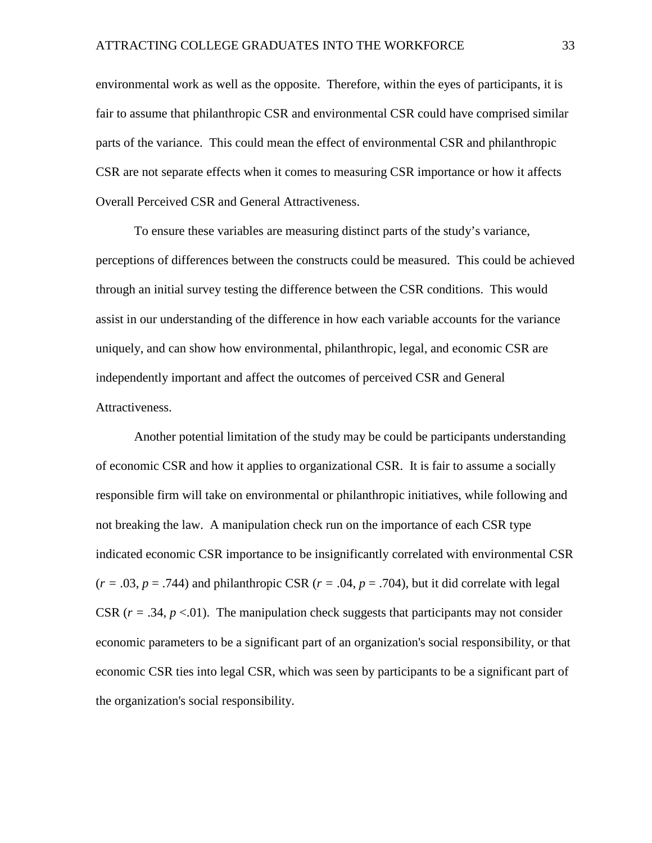environmental work as well as the opposite. Therefore, within the eyes of participants, it is fair to assume that philanthropic CSR and environmental CSR could have comprised similar parts of the variance. This could mean the effect of environmental CSR and philanthropic CSR are not separate effects when it comes to measuring CSR importance or how it affects Overall Perceived CSR and General Attractiveness.

To ensure these variables are measuring distinct parts of the study's variance, perceptions of differences between the constructs could be measured. This could be achieved through an initial survey testing the difference between the CSR conditions. This would assist in our understanding of the difference in how each variable accounts for the variance uniquely, and can show how environmental, philanthropic, legal, and economic CSR are independently important and affect the outcomes of perceived CSR and General Attractiveness.

Another potential limitation of the study may be could be participants understanding of economic CSR and how it applies to organizational CSR. It is fair to assume a socially responsible firm will take on environmental or philanthropic initiatives, while following and not breaking the law. A manipulation check run on the importance of each CSR type indicated economic CSR importance to be insignificantly correlated with environmental CSR  $(r = .03, p = .744)$  and philanthropic CSR  $(r = .04, p = .704)$ , but it did correlate with legal CSR  $(r = .34, p < .01)$ . The manipulation check suggests that participants may not consider economic parameters to be a significant part of an organization's social responsibility, or that economic CSR ties into legal CSR, which was seen by participants to be a significant part of the organization's social responsibility.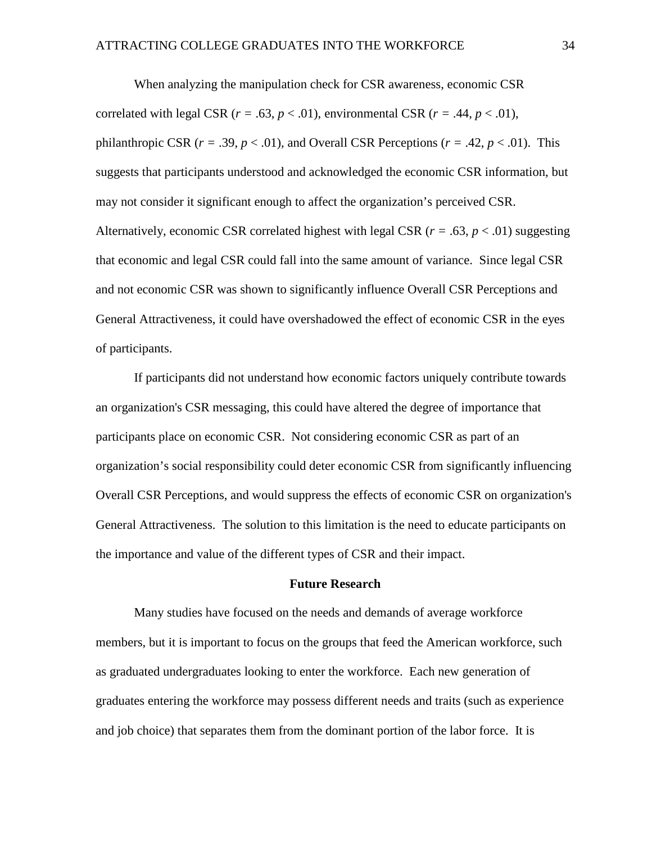When analyzing the manipulation check for CSR awareness, economic CSR correlated with legal CSR  $(r = .63, p < .01)$ , environmental CSR  $(r = .44, p < .01)$ , philanthropic CSR  $(r = .39, p < .01)$ , and Overall CSR Perceptions  $(r = .42, p < .01)$ . This suggests that participants understood and acknowledged the economic CSR information, but may not consider it significant enough to affect the organization's perceived CSR. Alternatively, economic CSR correlated highest with legal CSR ( $r = .63$ ,  $p < .01$ ) suggesting that economic and legal CSR could fall into the same amount of variance. Since legal CSR and not economic CSR was shown to significantly influence Overall CSR Perceptions and General Attractiveness, it could have overshadowed the effect of economic CSR in the eyes of participants.

If participants did not understand how economic factors uniquely contribute towards an organization's CSR messaging, this could have altered the degree of importance that participants place on economic CSR. Not considering economic CSR as part of an organization's social responsibility could deter economic CSR from significantly influencing Overall CSR Perceptions, and would suppress the effects of economic CSR on organization's General Attractiveness. The solution to this limitation is the need to educate participants on the importance and value of the different types of CSR and their impact.

#### **Future Research**

Many studies have focused on the needs and demands of average workforce members, but it is important to focus on the groups that feed the American workforce, such as graduated undergraduates looking to enter the workforce. Each new generation of graduates entering the workforce may possess different needs and traits (such as experience and job choice) that separates them from the dominant portion of the labor force. It is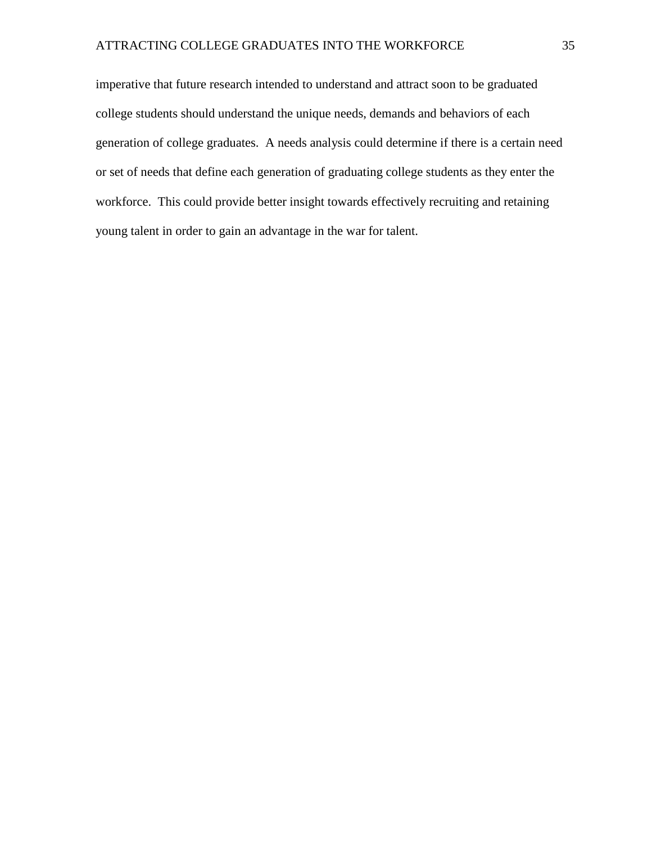imperative that future research intended to understand and attract soon to be graduated college students should understand the unique needs, demands and behaviors of each generation of college graduates. A needs analysis could determine if there is a certain need or set of needs that define each generation of graduating college students as they enter the workforce. This could provide better insight towards effectively recruiting and retaining young talent in order to gain an advantage in the war for talent.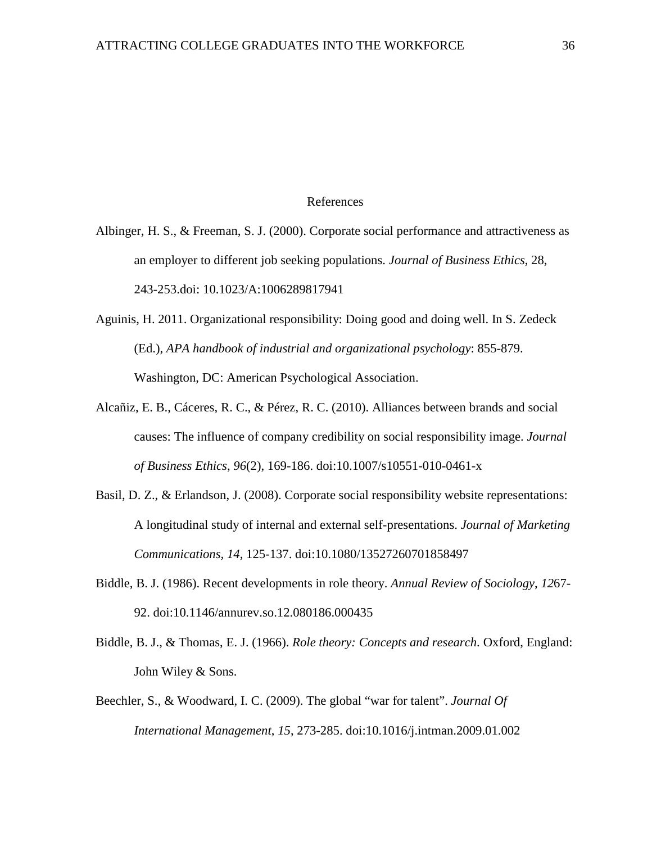### References

Albinger, H. S., & Freeman, S. J. (2000). Corporate social performance and attractiveness as an employer to different job seeking populations. *Journal of Business Ethics*, 28, 243-253.doi: 10.1023/A:1006289817941

- Aguinis, H. 2011. Organizational responsibility: Doing good and doing well. In S. Zedeck (Ed.), *APA handbook of industrial and organizational psychology*: 855-879. Washington, DC: American Psychological Association.
- Alcañiz, E. B., Cáceres, R. C., & Pérez, R. C. (2010). Alliances between brands and social causes: The influence of company credibility on social responsibility image. *Journal of Business Ethics*, *96*(2), 169-186. doi:10.1007/s10551-010-0461-x
- Basil, D. Z., & Erlandson, J. (2008). Corporate social responsibility website representations: A longitudinal study of internal and external self-presentations. *Journal of Marketing Communications, 14*, 125-137. doi:10.1080/13527260701858497
- Biddle, B. J. (1986). Recent developments in role theory. *Annual Review of Sociology*, *12*67- 92. doi:10.1146/annurev.so.12.080186.000435
- Biddle, B. J., & Thomas, E. J. (1966). *Role theory: Concepts and research*. Oxford, England: John Wiley & Sons.
- Beechler, S., & Woodward, I. C. (2009). The global "war for talent". *Journal Of International Management*, *15*, 273-285. doi:10.1016/j.intman.2009.01.002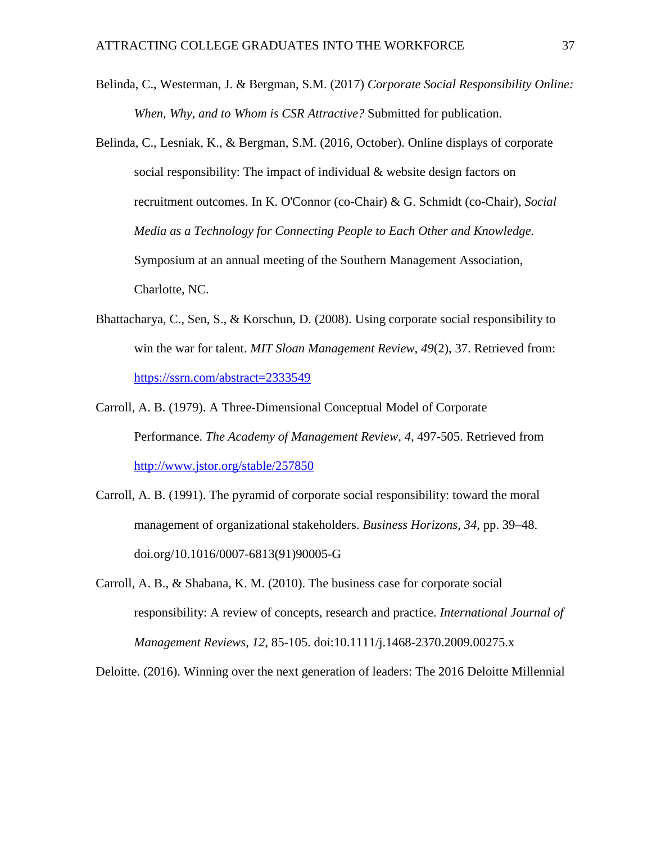- Belinda, C., Westerman, J. & Bergman, S.M. (2017) *Corporate Social Responsibility Online: When, Why, and to Whom is CSR Attractive?* Submitted for publication.
- Belinda, C., Lesniak, K., & Bergman, S.M. (2016, October). Online displays of corporate social responsibility: The impact of individual & website design factors on recruitment outcomes. In K. O'Connor (co-Chair) & G. Schmidt (co-Chair), *Social Media as a Technology for Connecting People to Each Other and Knowledge.* Symposium at an annual meeting of the Southern Management Association, Charlotte, NC.
- Bhattacharya, C., Sen, S., & Korschun, D. (2008). Using corporate social responsibility to win the war for talent. *MIT Sloan Management Review*, *49*(2), 37. Retrieved from: <https://ssrn.com/abstract=2333549>
- Carroll, A. B. (1979). A Three-Dimensional Conceptual Model of Corporate Performance. *The Academy of Management Review, 4*, 497-505. Retrieved from <http://www.jstor.org/stable/257850>
- Carroll, A. B. (1991). The pyramid of corporate social responsibility: toward the moral management of organizational stakeholders. *Business Horizons*, *34*, pp. 39–48. [doi.org/10.1016/0007-6813\(91\)90005-G](https://doi.org/10.1016/0007-6813(91)90005-G)
- Carroll, A. B., & Shabana, K. M. (2010). The business case for corporate social responsibility: A review of concepts, research and practice. *International Journal of Management Reviews*, *12*, 85-105. doi:10.1111/j.1468-2370.2009.00275.x

Deloitte. (2016). Winning over the next generation of leaders: The 2016 Deloitte Millennial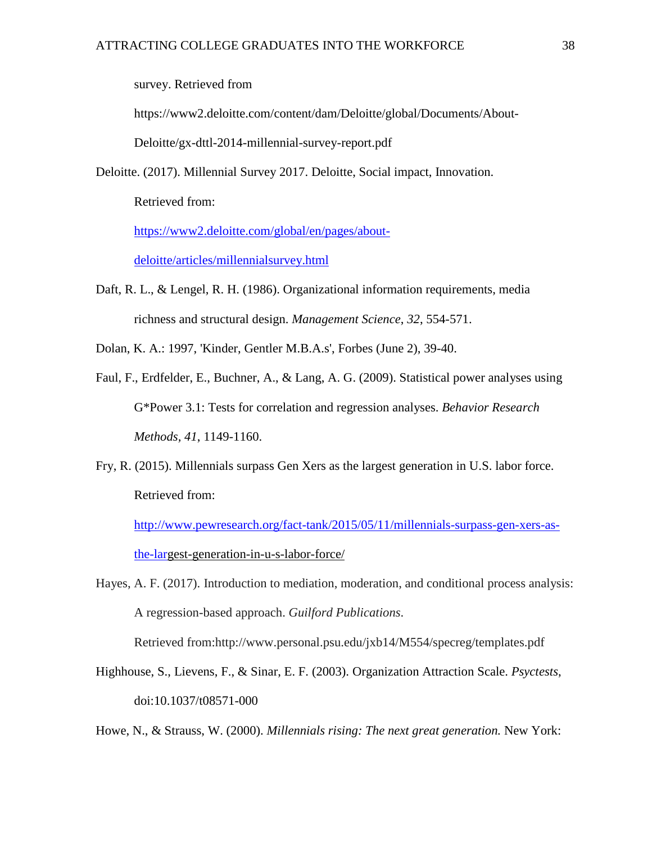survey. Retrieved from

https://www2.deloitte.com/content/dam/Deloitte/global/Documents/About-

Deloitte/gx-dttl-2014-millennial-survey-report.pdf

Deloitte. (2017). Millennial Survey 2017. Deloitte, Social impact, Innovation.

Retrieved from:

[https://www2.deloitte.com/global/en/pages/about-](https://www2.deloitte.com/global/en/pages/about-deloitte/articles/millennialsurvey.html)

[deloitte/articles/millennialsurvey.html](https://www2.deloitte.com/global/en/pages/about-deloitte/articles/millennialsurvey.html)

Daft, R. L., & Lengel, R. H. (1986). Organizational information requirements, media richness and structural design. *Management Science*, *32*, 554-571.

Dolan, K. A.: 1997, 'Kinder, Gentler M.B.A.s', Forbes (June 2), 39-40.

- Faul, F., Erdfelder, E., Buchner, A., & Lang, A. G. (2009). Statistical power analyses using G\*Power 3.1: Tests for correlation and regression analyses. *Behavior Research Methods, 41*, 1149-1160.
- Fry, R. (2015). Millennials surpass Gen Xers as the largest generation in U.S. labor force. Retrieved from:

[http://www.pewresearch.org/fact-tank/2015/05/11/millennials-surpass-gen-xers-as](http://www.pewresearch.org/fact-tank/2015/05/11/millennials-surpass-gen-xers-as-the-lar)[the-larg](http://www.pewresearch.org/fact-tank/2015/05/11/millennials-surpass-gen-xers-as-the-lar)est-generation-in-u-s-labor-force/

Hayes, A. F. (2017). Introduction to mediation, moderation, and conditional process analysis: A regression-based approach. *Guilford Publications*.

Retrieved from:http://www.personal.psu.edu/jxb14/M554/specreg/templates.pdf

Highhouse, S., Lievens, F., & Sinar, E. F. (2003). Organization Attraction Scale. *Psyctests*, doi:10.1037/t08571-000

Howe, N., & Strauss, W. (2000). *Millennials rising: The next great generation.* New York: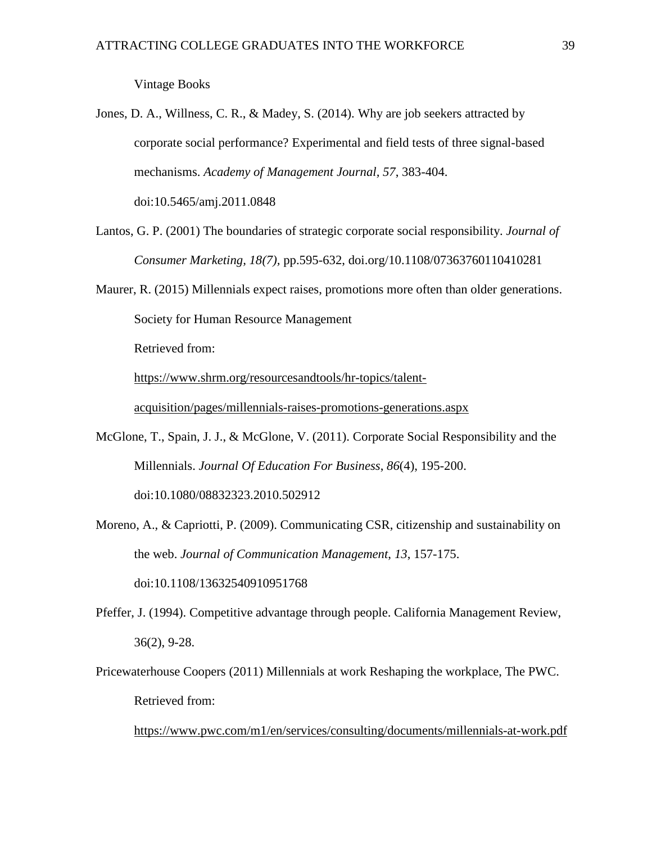Vintage Books

Jones, D. A., Willness, C. R., & Madey, S. (2014). Why are job seekers attracted by corporate social performance? Experimental and field tests of three signal-based mechanisms. *Academy of Management Journal, 57*, 383-404. doi:10.5465/amj.2011.0848

- Lantos, G. P. (2001) The boundaries of strategic corporate social responsibility. *Journal of Consumer Marketing, 18(7),* pp.595-632, doi.org/10.1108/07363760110410281
- Maurer, R. (2015) Millennials expect raises, promotions more often than older generations. Society for Human Resource Management

Retrieved from:

[https://www.shrm.org/resourcesandtools/hr-topics/talent-](https://www.shrm.org/resourcesandtools/hr-topics/talent-acquisition/pages/millennials-raises-promotions-generations.aspx)

[acquisition/pages/millennials-raises-promotions-generations.aspx](https://www.shrm.org/resourcesandtools/hr-topics/talent-acquisition/pages/millennials-raises-promotions-generations.aspx)

- McGlone, T., Spain, J. J., & McGlone, V. (2011). Corporate Social Responsibility and the Millennials. *Journal Of Education For Business*, *86*(4), 195-200. doi:10.1080/08832323.2010.502912
- Moreno, A., & Capriotti, P. (2009). Communicating CSR, citizenship and sustainability on the web. *Journal of Communication Management*, *13*, 157-175. doi:10.1108/13632540910951768
- Pfeffer, J. (1994). Competitive advantage through people. California Management Review, 36(2), 9-28.
- Pricewaterhouse Coopers (2011) Millennials at work Reshaping the workplace, The PWC. Retrieved from:

<https://www.pwc.com/m1/en/services/consulting/documents/millennials-at-work.pdf>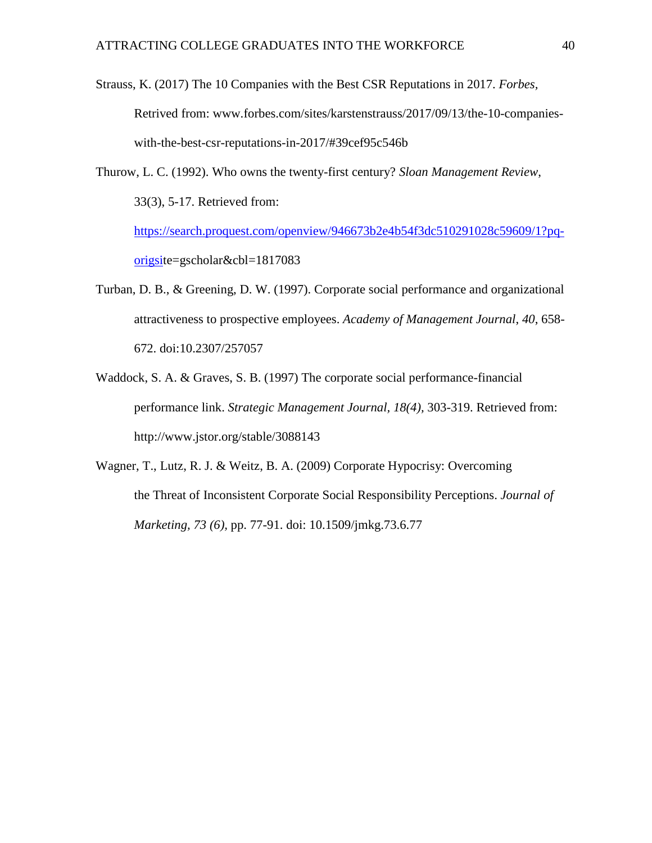Strauss, K. (2017) The 10 Companies with the Best CSR Reputations in 2017. *Forbes,*  Retrived from: www.forbes.com/sites/karstenstrauss/2017/09/13/the-10-companieswith-the-best-csr-reputations-in-2017/#39cef95c546b

Thurow, L. C. (1992). Who owns the twenty-first century? *Sloan Management Review*, 33(3), 5-17. Retrieved from: [https://search.proquest.com/openview/946673b2e4b54f3dc510291028c59609/1?pq](https://search.proquest.com/openview/946673b2e4b54f3dc510291028c59609/1?pq-origsi)[origsit](https://search.proquest.com/openview/946673b2e4b54f3dc510291028c59609/1?pq-origsi)e=gscholar&cbl=1817083

- Turban, D. B., & Greening, D. W. (1997). Corporate social performance and organizational attractiveness to prospective employees. *Academy of Management Journal*, *40*, 658- 672. doi:10.2307/257057
- Waddock, S. A. & Graves, S. B. (1997) The corporate social performance-financial performance link. *Strategic Management Journal, 18(4),* 303-319. Retrieved from: <http://www.jstor.org/stable/3088143>
- Wagner, T., Lutz, R. J. & Weitz, B. A. (2009) Corporate Hypocrisy: Overcoming the Threat of Inconsistent Corporate Social Responsibility Perceptions. *Journal of Marketing, 73 (6),* pp. 77-91. doi: 10.1509/jmkg.73.6.77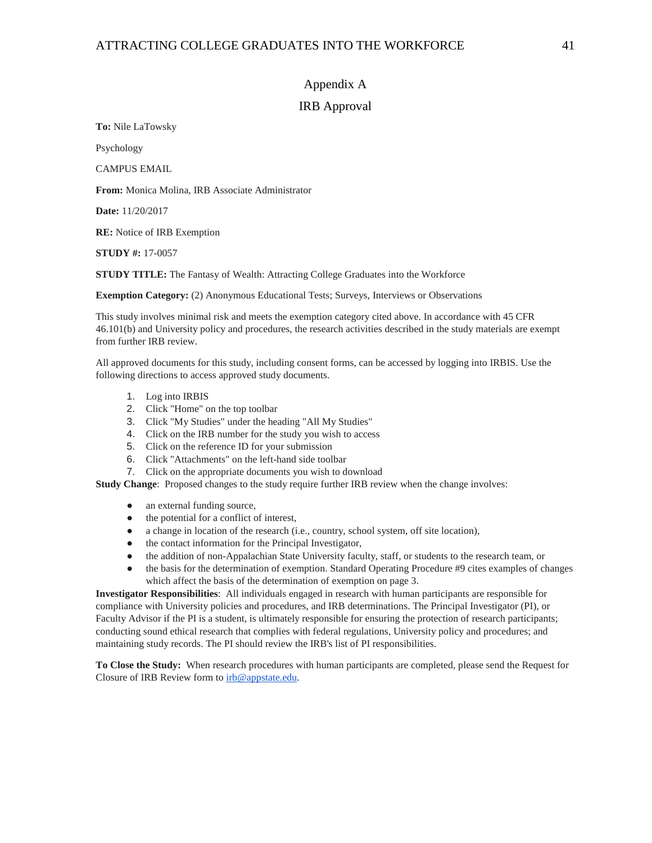## Appendix A

### IRB Approval

**To:** Nile LaTowsky

Psychology

CAMPUS EMAIL

**From:** Monica Molina, IRB Associate Administrator

**Date:** 11/20/2017

**RE:** Notice of IRB Exemption

**STUDY #:** 17-0057

**STUDY TITLE:** The Fantasy of Wealth: Attracting College Graduates into the Workforce

**Exemption Category:** (2) Anonymous Educational Tests; Surveys, Interviews or Observations

This study involves minimal risk and meets the exemption category cited above. In accordance with 45 CFR 46.101(b) and University policy and procedures, the research activities described in the study materials are exempt from further IRB review.

All approved documents for this study, including consent forms, can be accessed by logging into IRBIS. Use the following directions to access approved study documents.

- 1. Log into IRBIS
- 2. Click "Home" on the top toolbar
- 3. Click "My Studies" under the heading "All My Studies"
- 4. Click on the IRB number for the study you wish to access
- 5. Click on the reference ID for your submission
- 6. Click "Attachments" on the left-hand side toolbar
- 7. Click on the appropriate documents you wish to download

**Study Change:** Proposed changes to the study require further IRB review when the change involves:

- an external funding source,
- the potential for a conflict of interest,
- a change in location of the research (i.e., country, school system, off site location),
- the contact information for the Principal Investigator,
- the addition of non-Appalachian State University faculty, staff, or students to the research team, or
- the basis for the determination of exemption. Standard Operating Procedure #9 cites examples of changes which affect the basis of the determination of exemption on page 3.

**Investigator Responsibilities**: All individuals engaged in research with human participants are responsible for compliance with University policies and procedures, and IRB determinations. The Principal Investigator (PI), or Faculty Advisor if the PI is a student, is ultimately responsible for ensuring the protection of research participants; conducting sound ethical research that complies with federal regulations, University policy and procedures; and maintaining study records. The PI should review the IRB's list of PI responsibilities.

**To Close the Study:** When research procedures with human participants are completed, please send the Request for Closure of IRB Review form t[o irb@appstate.edu.](mailto:irb@appstate.edu)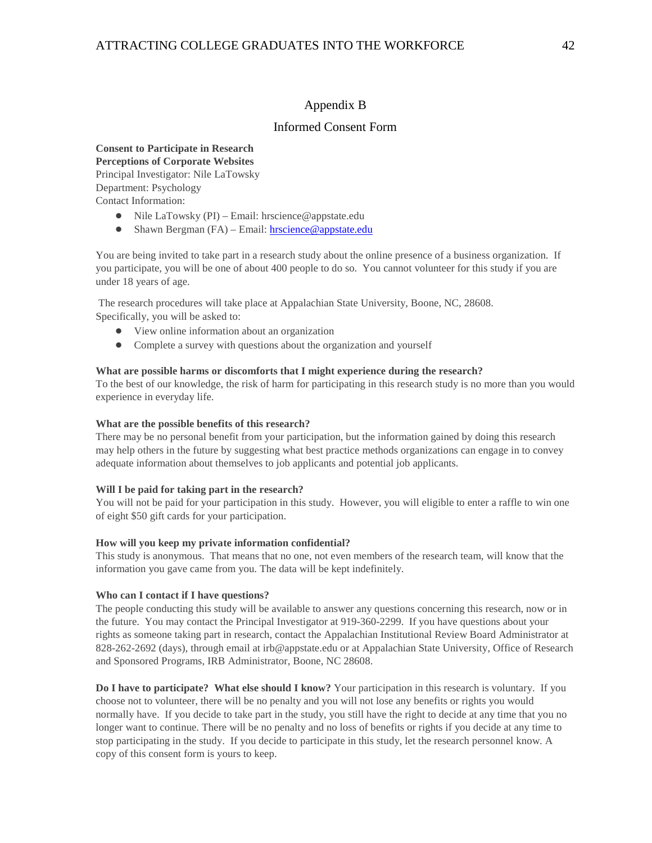## Appendix B

#### Informed Consent Form

#### **Consent to Participate in Research Perceptions of Corporate Websites** Principal Investigator: Nile LaTowsky Department: Psychology Contact Information:

- Nile LaTowsky (PI) Email: hrscience@appstate.edu
- Shawn Bergman (FA) Email: [hrscience@appstate.edu](mailto:hrscience@appstate.edu)

You are being invited to take part in a research study about the online presence of a business organization. If you participate, you will be one of about 400 people to do so. You cannot volunteer for this study if you are under 18 years of age.

The research procedures will take place at Appalachian State University, Boone, NC, 28608. Specifically, you will be asked to:

- View online information about an organization
- Complete a survey with questions about the organization and yourself

#### **What are possible harms or discomforts that I might experience during the research?**

To the best of our knowledge, the risk of harm for participating in this research study is no more than you would experience in everyday life.

#### **What are the possible benefits of this research?**

There may be no personal benefit from your participation, but the information gained by doing this research may help others in the future by suggesting what best practice methods organizations can engage in to convey adequate information about themselves to job applicants and potential job applicants.

#### **Will I be paid for taking part in the research?**

You will not be paid for your participation in this study. However, you will eligible to enter a raffle to win one of eight \$50 gift cards for your participation.

#### **How will you keep my private information confidential?**

This study is anonymous. That means that no one, not even members of the research team, will know that the information you gave came from you. The data will be kept indefinitely.

#### **Who can I contact if I have questions?**

The people conducting this study will be available to answer any questions concerning this research, now or in the future. You may contact the Principal Investigator at 919-360-2299. If you have questions about your rights as someone taking part in research, contact the Appalachian Institutional Review Board Administrator at 828-262-2692 (days), through email at irb@appstate.edu or at Appalachian State University, Office of Research and Sponsored Programs, IRB Administrator, Boone, NC 28608.

**Do I have to participate? What else should I know?** Your participation in this research is voluntary. If you choose not to volunteer, there will be no penalty and you will not lose any benefits or rights you would normally have. If you decide to take part in the study, you still have the right to decide at any time that you no longer want to continue. There will be no penalty and no loss of benefits or rights if you decide at any time to stop participating in the study. If you decide to participate in this study, let the research personnel know. A copy of this consent form is yours to keep.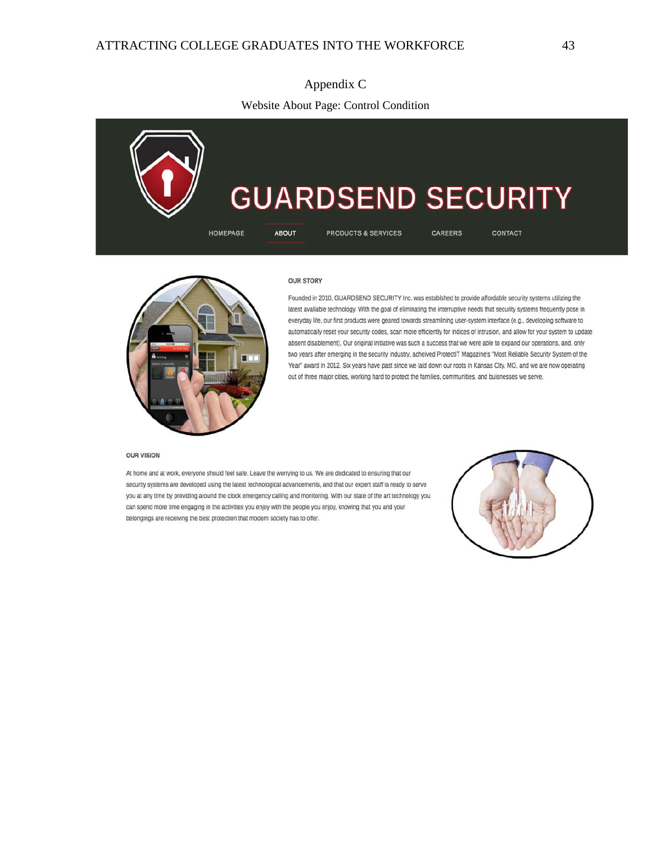**GUARDSEND SECURITY PRODUCTS & SERVICES CAREERS HOMEPAGE ABOUT CONTACT** 



#### **OUR STORY**

Founded in 2010, GUARDSEND SECURITY Inc. was establshed to provide affordable security systems utilizing the latest available technology. With the goal of eliminating the interruptive needs that security systems frequently pose in everyday life, our first products were geared towards streamlining user-system interface (e.g., developing software to automatically reset your security codes, scan more efficiently for indices of intrusion, and allow for your system to update absent disablement). Our original initiative was such a success that we were able to expand our operations, and, only two years after emerging in the security industry, acheived ProtectIT Magazine's "Most Reliable Security System of the Year" award in 2012. Six years have past since we laid down our roots in Kansas City, MO, and we are now operating out of three major cities, working hard to protect the families, communities, and buisnesses we serve.

#### **OUR VISION**

At home and at work, everyone should feel safe. Leave the worrying to us. We are dedicated to ensuring that our security systems are developed using the latest technological advancements, and that our expert staff is ready to serve you at any time by providing around the clock emergency calling and monitoring. With our state of the art technology you can spend more time engaging in the activities you enjoy with the people you enjoy, knowing that you and your belongings are receiving the best protection that modern society has to offer.

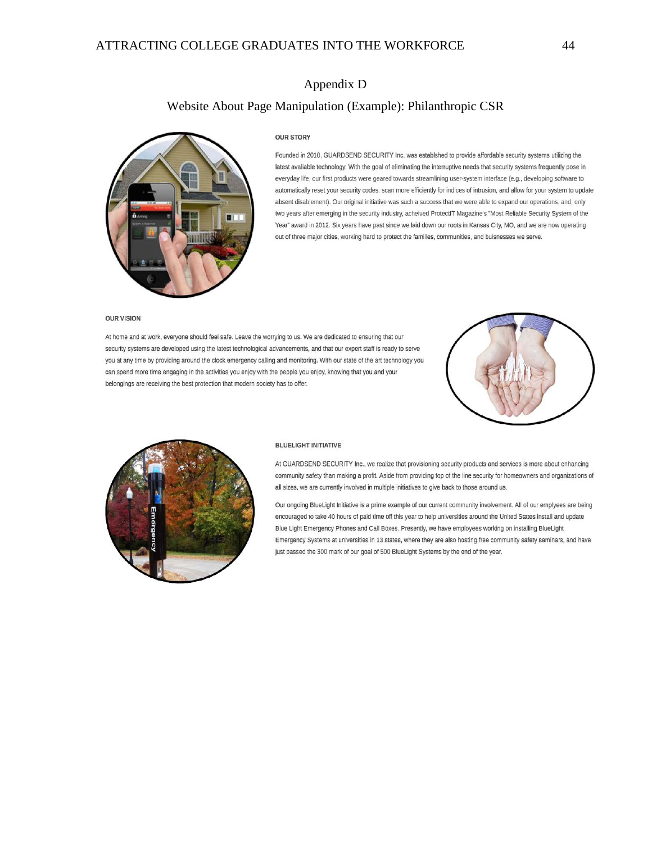## Appendix D

## Website About Page Manipulation (Example): Philanthropic CSR



#### **OUR STORY**

Founded in 2010, GUARDSEND SECURITY Inc. was establshed to provide affordable security systems utilizing the latest avaliable technology. With the goal of eliminating the interruptive needs that security systems frequently pose in everyday life, our first products were geared towards streamlining user-system interface (e.g., developing software to automatically reset your security codes, scan more efficiently for indices of intrusion, and allow for your system to update absent disablement). Our original initiative was such a success that we were able to expand our operations, and, only two years after emerging in the security industry, acheived ProtectIT Magazine's "Most Reliable Security System of the Year" award in 2012. Six years have past since we laid down our roots in Kansas City, MO, and we are now operating out of three major cities, working hard to protect the families, communities, and buisnesses we serve.

#### **OUR VISION**

At home and at work, everyone should feel safe. Leave the worrying to us. We are dedicated to ensuring that our security systems are developed using the latest technological advancements, and that our expert staff is ready to serve you at any time by providing around the clock emergency calling and monitoring. With our state of the art technology you can spend more time engaging in the activities you enjoy with the people you enjoy, knowing that you and your belongings are receiving the best protection that modern society has to offer.





#### **BLUELIGHT INITIATIVE**

At GUARDSEND SECURITY Inc., we realize that provisioning security products and services is more about enhancing community safety than making a profit. Aside from providing top of the line security for homeowners and organizations of all sizes, we are currently involved in multiple initiatives to give back to those around us.

Our ongoing BlueLight Initiative is a prime example of our current community involvement. All of our emplyees are being encouraged to take 40 hours of paid time off this year to help universities around the United States install and update Blue Light Emergency Phones and Call Boxes. Presently, we have employees working on installing BlueLight Emergency Systems at universities in 13 states, where they are also hosting free community safety seminars, and have just passed the 300 mark of our goal of 500 BlueLight Systems by the end of the year.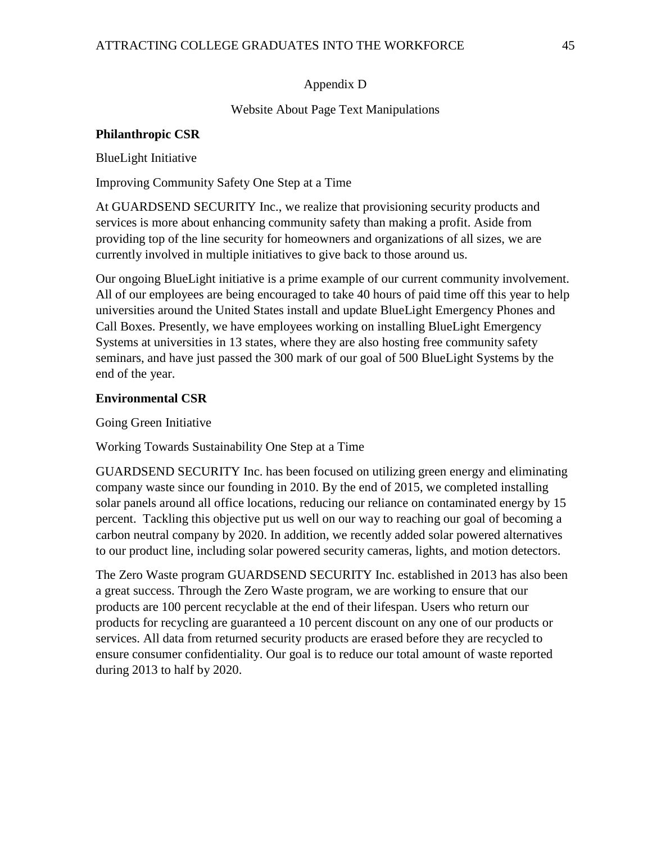# Appendix D

Website About Page Text Manipulations

## **Philanthropic CSR**

BlueLight Initiative

Improving Community Safety One Step at a Time

At GUARDSEND SECURITY Inc., we realize that provisioning security products and services is more about enhancing community safety than making a profit. Aside from providing top of the line security for homeowners and organizations of all sizes, we are currently involved in multiple initiatives to give back to those around us.

Our ongoing BlueLight initiative is a prime example of our current community involvement. All of our employees are being encouraged to take 40 hours of paid time off this year to help universities around the United States install and update BlueLight Emergency Phones and Call Boxes. Presently, we have employees working on installing BlueLight Emergency Systems at universities in 13 states, where they are also hosting free community safety seminars, and have just passed the 300 mark of our goal of 500 BlueLight Systems by the end of the year.

# **Environmental CSR**

Going Green Initiative

Working Towards Sustainability One Step at a Time

GUARDSEND SECURITY Inc. has been focused on utilizing green energy and eliminating company waste since our founding in 2010. By the end of 2015, we completed installing solar panels around all office locations, reducing our reliance on contaminated energy by 15 percent. Tackling this objective put us well on our way to reaching our goal of becoming a carbon neutral company by 2020. In addition, we recently added solar powered alternatives to our product line, including solar powered security cameras, lights, and motion detectors.

The Zero Waste program GUARDSEND SECURITY Inc. established in 2013 has also been a great success. Through the Zero Waste program, we are working to ensure that our products are 100 percent recyclable at the end of their lifespan. Users who return our products for recycling are guaranteed a 10 percent discount on any one of our products or services. All data from returned security products are erased before they are recycled to ensure consumer confidentiality. Our goal is to reduce our total amount of waste reported during 2013 to half by 2020.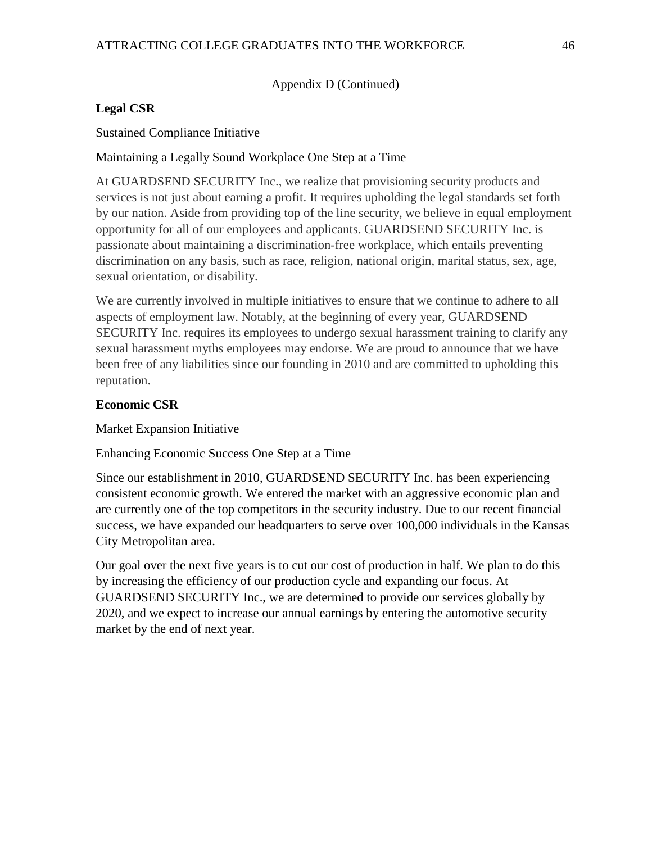## Appendix D (Continued)

# **Legal CSR**

Sustained Compliance Initiative

# Maintaining a Legally Sound Workplace One Step at a Time

At GUARDSEND SECURITY Inc., we realize that provisioning security products and services is not just about earning a profit. It requires upholding the legal standards set forth by our nation. Aside from providing top of the line security, we believe in equal employment opportunity for all of our employees and applicants. GUARDSEND SECURITY Inc. is passionate about maintaining a discrimination-free workplace, which entails preventing discrimination on any basis, such as race, religion, national origin, marital status, sex, age, sexual orientation, or disability.

We are currently involved in multiple initiatives to ensure that we continue to adhere to all aspects of employment law. Notably, at the beginning of every year, GUARDSEND SECURITY Inc. requires its employees to undergo sexual harassment training to clarify any sexual harassment myths employees may endorse. We are proud to announce that we have been free of any liabilities since our founding in 2010 and are committed to upholding this reputation.

# **Economic CSR**

# Market Expansion Initiative

Enhancing Economic Success One Step at a Time

Since our establishment in 2010, GUARDSEND SECURITY Inc. has been experiencing consistent economic growth. We entered the market with an aggressive economic plan and are currently one of the top competitors in the security industry. Due to our recent financial success, we have expanded our headquarters to serve over 100,000 individuals in the Kansas City Metropolitan area.

Our goal over the next five years is to cut our cost of production in half. We plan to do this by increasing the efficiency of our production cycle and expanding our focus. At GUARDSEND SECURITY Inc., we are determined to provide our services globally by 2020, and we expect to increase our annual earnings by entering the automotive security market by the end of next year.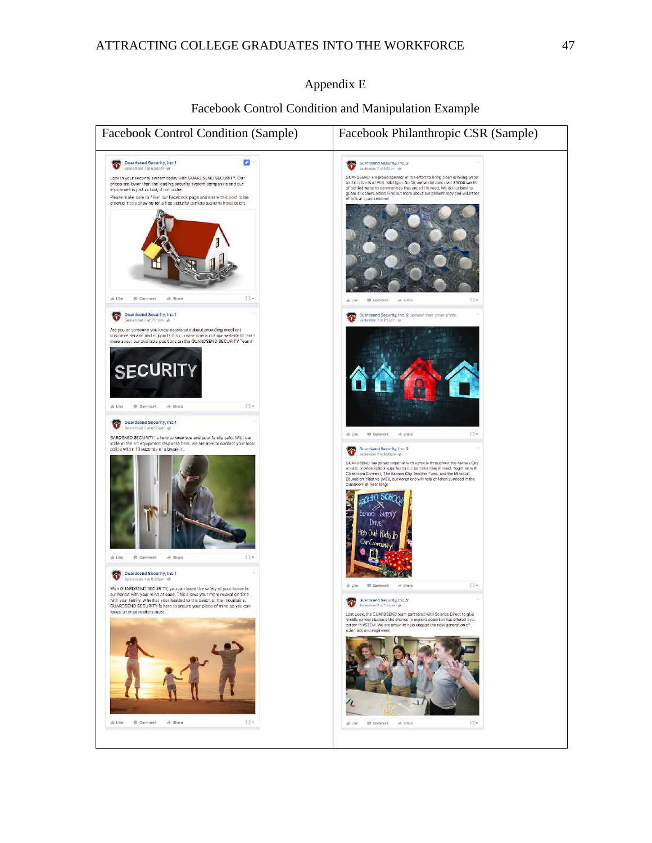## Appendix E

### Facebook Control Condition and Manipulation Example

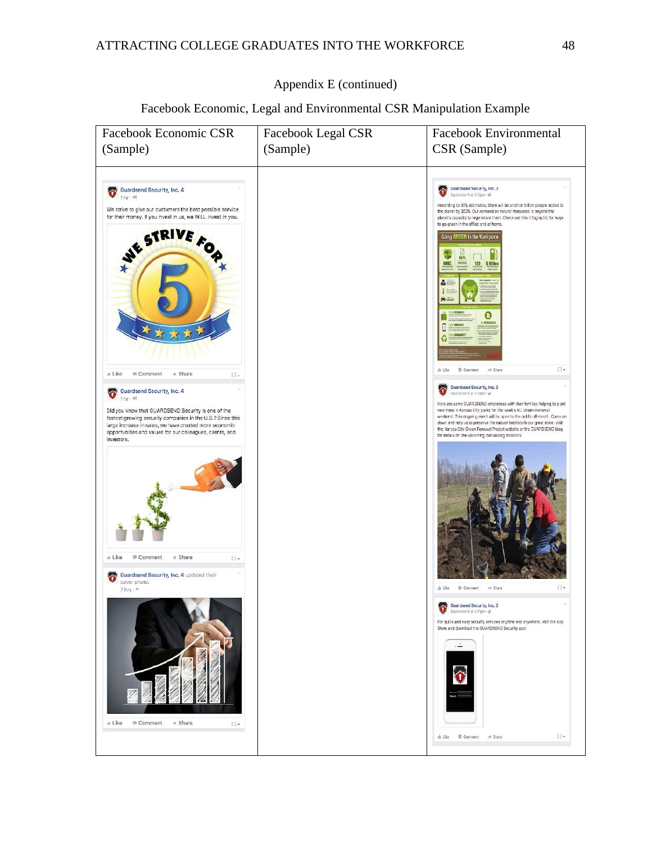# ATTRACTING COLLEGE GRADUATES INTO THE WORKFORCE 48

## Appendix E (continued)

# Facebook Economic, Legal and Environmental CSR Manipulation Example

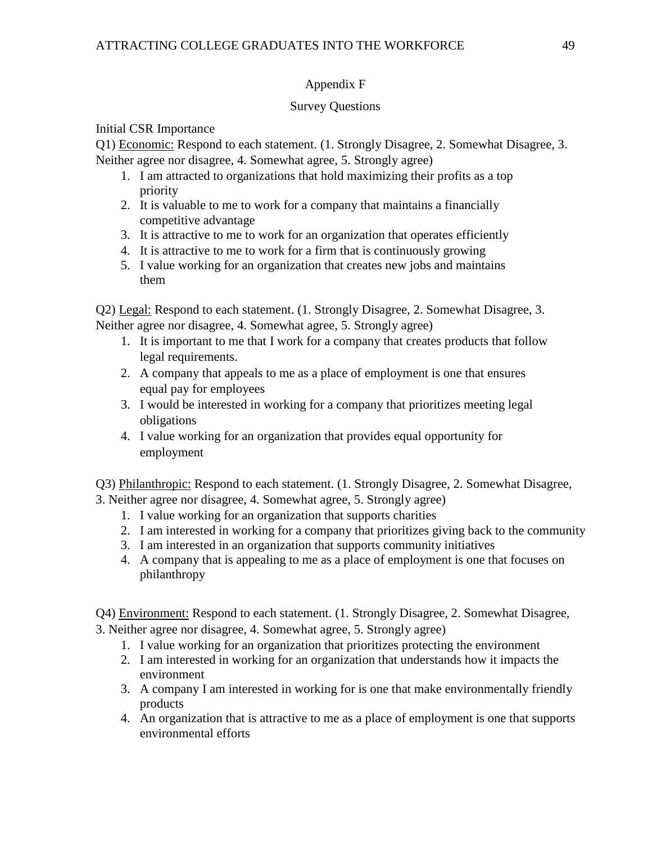# Appendix F

# Survey Questions

Initial CSR Importance

Q1) Economic: Respond to each statement. (1. Strongly Disagree, 2. Somewhat Disagree, 3. Neither agree nor disagree, 4. Somewhat agree, 5. Strongly agree)

- 1. I am attracted to organizations that hold maximizing their profits as a top priority
- 2. It is valuable to me to work for a company that maintains a financially competitive advantage
- 3. It is attractive to me to work for an organization that operates efficiently
- 4. It is attractive to me to work for a firm that is continuously growing
- 5. I value working for an organization that creates new jobs and maintains them

Q2) Legal: Respond to each statement. (1. Strongly Disagree, 2. Somewhat Disagree, 3. Neither agree nor disagree, 4. Somewhat agree, 5. Strongly agree)

- 1. It is important to me that I work for a company that creates products that follow legal requirements.
- 2. A company that appeals to me as a place of employment is one that ensures equal pay for employees
- 3. I would be interested in working for a company that prioritizes meeting legal obligations
- 4. I value working for an organization that provides equal opportunity for employment

Q3) Philanthropic: Respond to each statement. (1. Strongly Disagree, 2. Somewhat Disagree, 3. Neither agree nor disagree, 4. Somewhat agree, 5. Strongly agree)

- 1. I value working for an organization that supports charities
- 2. I am interested in working for a company that prioritizes giving back to the community
- 3. I am interested in an organization that supports community initiatives
- 4. A company that is appealing to me as a place of employment is one that focuses on philanthropy

Q4) Environment: Respond to each statement. (1. Strongly Disagree, 2. Somewhat Disagree, 3. Neither agree nor disagree, 4. Somewhat agree, 5. Strongly agree)

- 1. I value working for an organization that prioritizes protecting the environment
- 2. I am interested in working for an organization that understands how it impacts the environment
- 3. A company I am interested in working for is one that make environmentally friendly products
- 4. An organization that is attractive to me as a place of employment is one that supports environmental efforts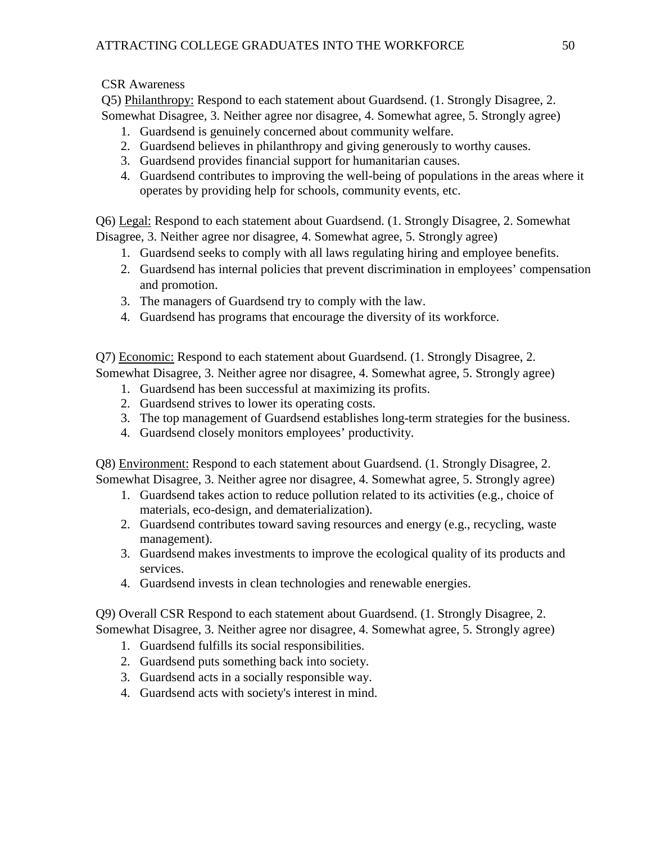CSR Awareness

Q5) Philanthropy: Respond to each statement about Guardsend. (1. Strongly Disagree, 2. Somewhat Disagree, 3. Neither agree nor disagree, 4. Somewhat agree, 5. Strongly agree)

- 1. Guardsend is genuinely concerned about community welfare.
- 2. Guardsend believes in philanthropy and giving generously to worthy causes.
- 3. Guardsend provides financial support for humanitarian causes.
- 4. Guardsend contributes to improving the well-being of populations in the areas where it operates by providing help for schools, community events, etc.

Q6) Legal: Respond to each statement about Guardsend. (1. Strongly Disagree, 2. Somewhat Disagree, 3. Neither agree nor disagree, 4. Somewhat agree, 5. Strongly agree)

- 1. Guardsend seeks to comply with all laws regulating hiring and employee benefits.
- 2. Guardsend has internal policies that prevent discrimination in employees' compensation and promotion.
- 3. The managers of Guardsend try to comply with the law.
- 4. Guardsend has programs that encourage the diversity of its workforce.

Q7) Economic: Respond to each statement about Guardsend. (1. Strongly Disagree, 2. Somewhat Disagree, 3. Neither agree nor disagree, 4. Somewhat agree, 5. Strongly agree)

- 1. Guardsend has been successful at maximizing its profits.
- 2. Guardsend strives to lower its operating costs.
- 3. The top management of Guardsend establishes long-term strategies for the business.
- 4. Guardsend closely monitors employees' productivity.

Q8) Environment: Respond to each statement about Guardsend. (1. Strongly Disagree, 2. Somewhat Disagree, 3. Neither agree nor disagree, 4. Somewhat agree, 5. Strongly agree)

- 1. Guardsend takes action to reduce pollution related to its activities (e.g., choice of materials, eco-design, and dematerialization).
- 2. Guardsend contributes toward saving resources and energy (e.g., recycling, waste management).
- 3. Guardsend makes investments to improve the ecological quality of its products and services.
- 4. Guardsend invests in clean technologies and renewable energies.

Q9) Overall CSR Respond to each statement about Guardsend. (1. Strongly Disagree, 2. Somewhat Disagree, 3. Neither agree nor disagree, 4. Somewhat agree, 5. Strongly agree)

- 1. Guardsend fulfills its social responsibilities.
- 2. Guardsend puts something back into society.
- 3. Guardsend acts in a socially responsible way.
- 4. Guardsend acts with society's interest in mind.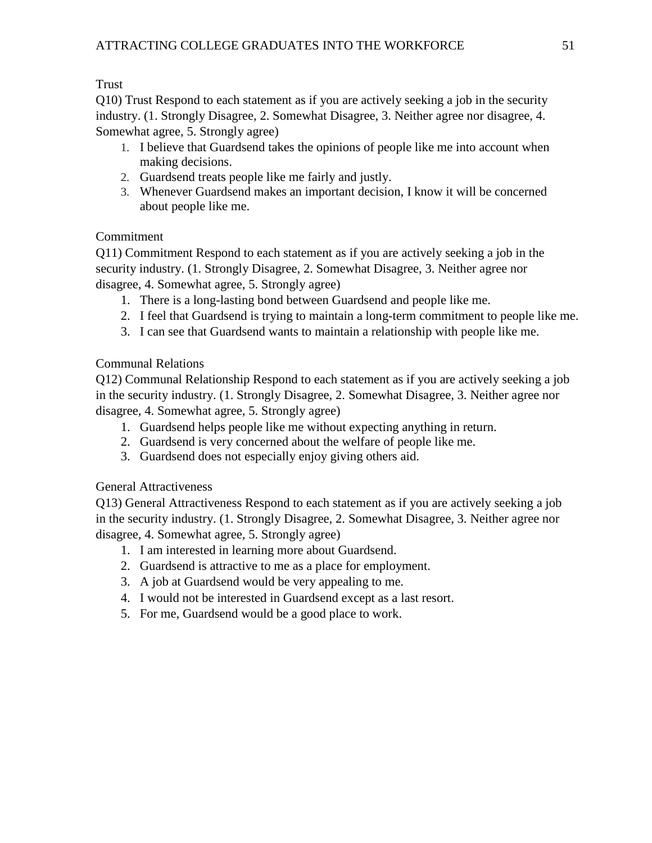Trust

Q10) Trust Respond to each statement as if you are actively seeking a job in the security industry. (1. Strongly Disagree, 2. Somewhat Disagree, 3. Neither agree nor disagree, 4. Somewhat agree, 5. Strongly agree)

- 1. I believe that Guardsend takes the opinions of people like me into account when making decisions.
- 2. Guardsend treats people like me fairly and justly.
- 3. Whenever Guardsend makes an important decision, I know it will be concerned about people like me.

# Commitment

Q11) Commitment Respond to each statement as if you are actively seeking a job in the security industry. (1. Strongly Disagree, 2. Somewhat Disagree, 3. Neither agree nor disagree, 4. Somewhat agree, 5. Strongly agree)

- 1. There is a long-lasting bond between Guardsend and people like me.
- 2. I feel that Guardsend is trying to maintain a long-term commitment to people like me.
- 3. I can see that Guardsend wants to maintain a relationship with people like me.

# Communal Relations

Q12) Communal Relationship Respond to each statement as if you are actively seeking a job in the security industry. (1. Strongly Disagree, 2. Somewhat Disagree, 3. Neither agree nor disagree, 4. Somewhat agree, 5. Strongly agree)

- 1. Guardsend helps people like me without expecting anything in return.
- 2. Guardsend is very concerned about the welfare of people like me.
- 3. Guardsend does not especially enjoy giving others aid.

General Attractiveness

Q13) General Attractiveness Respond to each statement as if you are actively seeking a job in the security industry. (1. Strongly Disagree, 2. Somewhat Disagree, 3. Neither agree nor disagree, 4. Somewhat agree, 5. Strongly agree)

- 1. I am interested in learning more about Guardsend.
- 2. Guardsend is attractive to me as a place for employment.
- 3. A job at Guardsend would be very appealing to me.
- 4. I would not be interested in Guardsend except as a last resort.
- 5. For me, Guardsend would be a good place to work.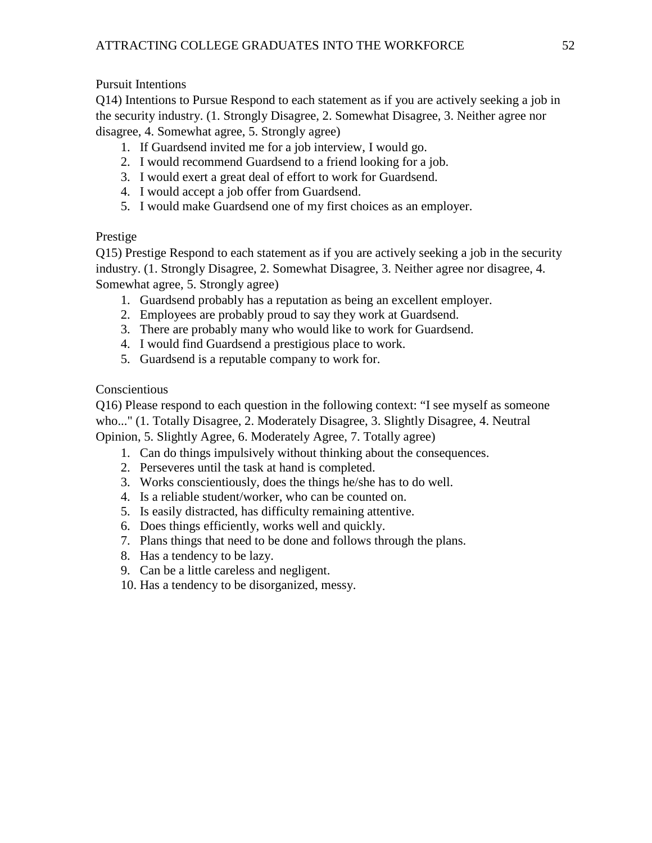# Pursuit Intentions

Q14) Intentions to Pursue Respond to each statement as if you are actively seeking a job in the security industry. (1. Strongly Disagree, 2. Somewhat Disagree, 3. Neither agree nor disagree, 4. Somewhat agree, 5. Strongly agree)

- 1. If Guardsend invited me for a job interview, I would go.
- 2. I would recommend Guardsend to a friend looking for a job.
- 3. I would exert a great deal of effort to work for Guardsend.
- 4. I would accept a job offer from Guardsend.
- 5. I would make Guardsend one of my first choices as an employer.

# Prestige

Q15) Prestige Respond to each statement as if you are actively seeking a job in the security industry. (1. Strongly Disagree, 2. Somewhat Disagree, 3. Neither agree nor disagree, 4. Somewhat agree, 5. Strongly agree)

- 1. Guardsend probably has a reputation as being an excellent employer.
- 2. Employees are probably proud to say they work at Guardsend.
- 3. There are probably many who would like to work for Guardsend.
- 4. I would find Guardsend a prestigious place to work.
- 5. Guardsend is a reputable company to work for.

# Conscientious

Q16) Please respond to each question in the following context: "I see myself as someone who..." (1. Totally Disagree, 2. Moderately Disagree, 3. Slightly Disagree, 4. Neutral

Opinion, 5. Slightly Agree, 6. Moderately Agree, 7. Totally agree)

- 1. Can do things impulsively without thinking about the consequences.
- 2. Perseveres until the task at hand is completed.
- 3. Works conscientiously, does the things he/she has to do well.
- 4. Is a reliable student/worker, who can be counted on.
- 5. Is easily distracted, has difficulty remaining attentive.
- 6. Does things efficiently, works well and quickly.
- 7. Plans things that need to be done and follows through the plans.
- 8. Has a tendency to be lazy.
- 9. Can be a little careless and negligent.
- 10. Has a tendency to be disorganized, messy.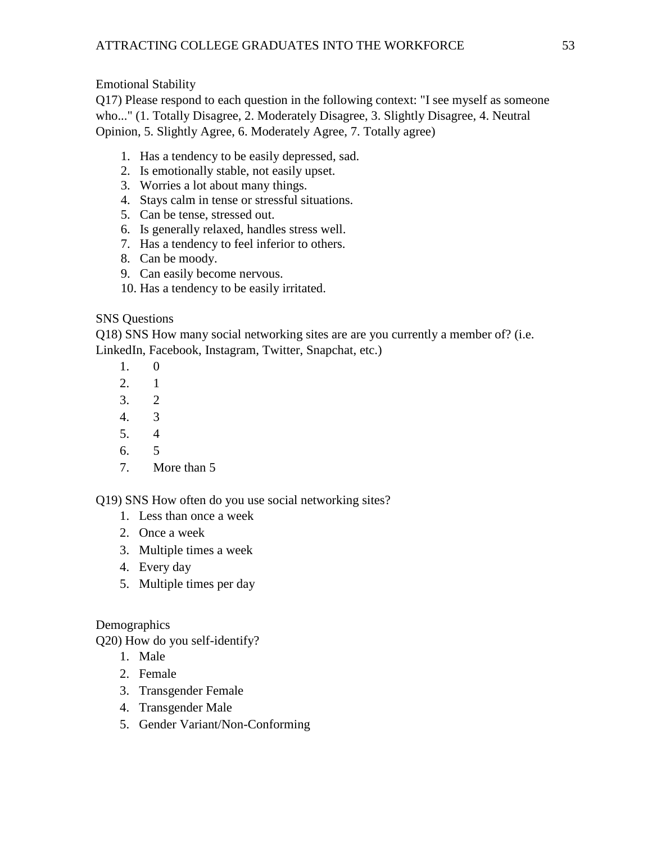Emotional Stability

Q17) Please respond to each question in the following context: "I see myself as someone who..." (1. Totally Disagree, 2. Moderately Disagree, 3. Slightly Disagree, 4. Neutral Opinion, 5. Slightly Agree, 6. Moderately Agree, 7. Totally agree)

- 1. Has a tendency to be easily depressed, sad.
- 2. Is emotionally stable, not easily upset.
- 3. Worries a lot about many things.
- 4. Stays calm in tense or stressful situations.
- 5. Can be tense, stressed out.
- 6. Is generally relaxed, handles stress well.
- 7. Has a tendency to feel inferior to others.
- 8. Can be moody.
- 9. Can easily become nervous.
- 10. Has a tendency to be easily irritated.

# SNS Questions

Q18) SNS How many social networking sites are are you currently a member of? (i.e. LinkedIn, Facebook, Instagram, Twitter, Snapchat, etc.)

- 1. 0
- 2. 1
- 3. 2
- 4. 3
- 5. 4
- 6. 5
- 7. More than 5

Q19) SNS How often do you use social networking sites?

- 1. Less than once a week
- 2. Once a week
- 3. Multiple times a week
- 4. Every day
- 5. Multiple times per day

# **Demographics**

Q20) How do you self-identify?

- 1. Male
- 2. Female
- 3. Transgender Female
- 4. Transgender Male
- 5. Gender Variant/Non-Conforming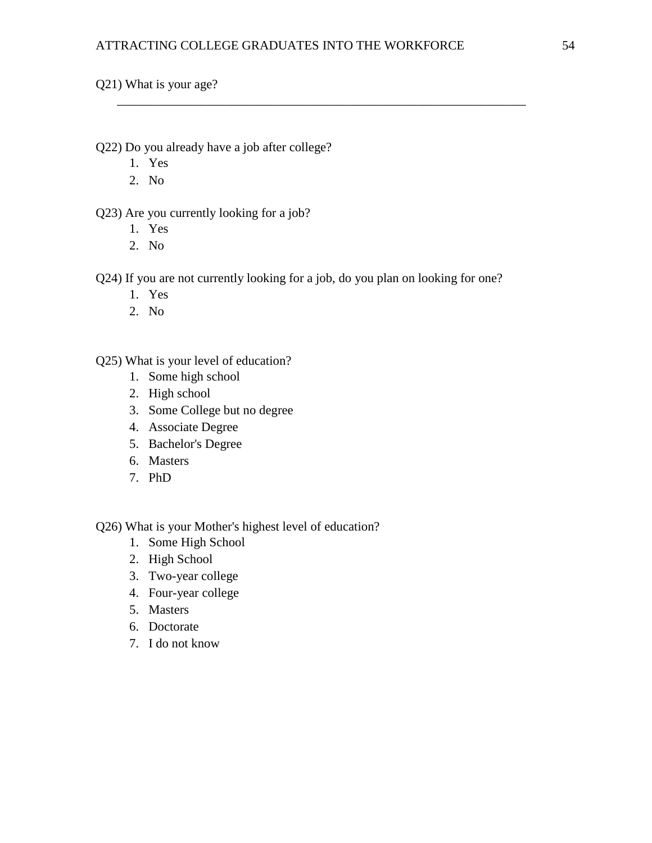\_\_\_\_\_\_\_\_\_\_\_\_\_\_\_\_\_\_\_\_\_\_\_\_\_\_\_\_\_\_\_\_\_\_\_\_\_\_\_\_\_\_\_\_\_\_\_\_\_\_\_\_\_\_\_\_\_\_\_\_\_\_\_\_

Q21) What is your age?

Q22) Do you already have a job after college?

- 1. Yes
- 2. No

Q23) Are you currently looking for a job?

- 1. Yes
- 2. No

Q24) If you are not currently looking for a job, do you plan on looking for one?

- 1. Yes
- 2. No

Q25) What is your level of education?

- 1. Some high school
- 2. High school
- 3. Some College but no degree
- 4. Associate Degree
- 5. Bachelor's Degree
- 6. Masters
- 7. PhD

Q26) What is your Mother's highest level of education?

- 1. Some High School
- 2. High School
- 3. Two-year college
- 4. Four-year college
- 5. Masters
- 6. Doctorate
- 7. I do not know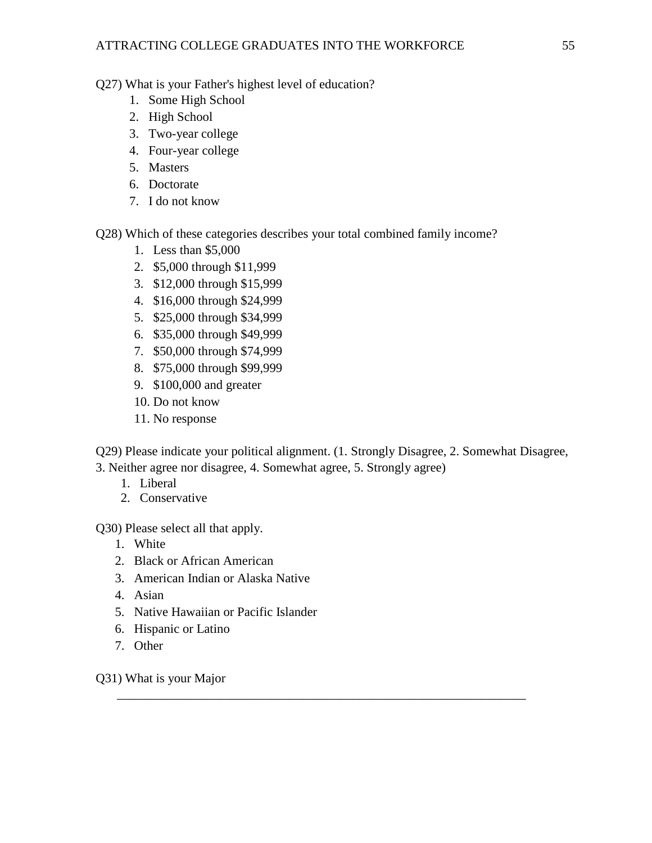Q27) What is your Father's highest level of education?

- 1. Some High School
- 2. High School
- 3. Two-year college
- 4. Four-year college
- 5. Masters
- 6. Doctorate
- 7. I do not know

Q28) Which of these categories describes your total combined family income?

- 1. Less than \$5,000
- 2. \$5,000 through \$11,999
- 3. \$12,000 through \$15,999
- 4. \$16,000 through \$24,999
- 5. \$25,000 through \$34,999
- 6. \$35,000 through \$49,999
- 7. \$50,000 through \$74,999
- 8. \$75,000 through \$99,999
- 9. \$100,000 and greater
- 10. Do not know
- 11. No response

Q29) Please indicate your political alignment. (1. Strongly Disagree, 2. Somewhat Disagree, 3. Neither agree nor disagree, 4. Somewhat agree, 5. Strongly agree)

\_\_\_\_\_\_\_\_\_\_\_\_\_\_\_\_\_\_\_\_\_\_\_\_\_\_\_\_\_\_\_\_\_\_\_\_\_\_\_\_\_\_\_\_\_\_\_\_\_\_\_\_\_\_\_\_\_\_\_\_\_\_\_\_

- 1. Liberal
- 2. Conservative

Q30) Please select all that apply.

- 1. White
- 2. Black or African American
- 3. American Indian or Alaska Native
- 4. Asian
- 5. Native Hawaiian or Pacific Islander
- 6. Hispanic or Latino
- 7. Other

Q31) What is your Major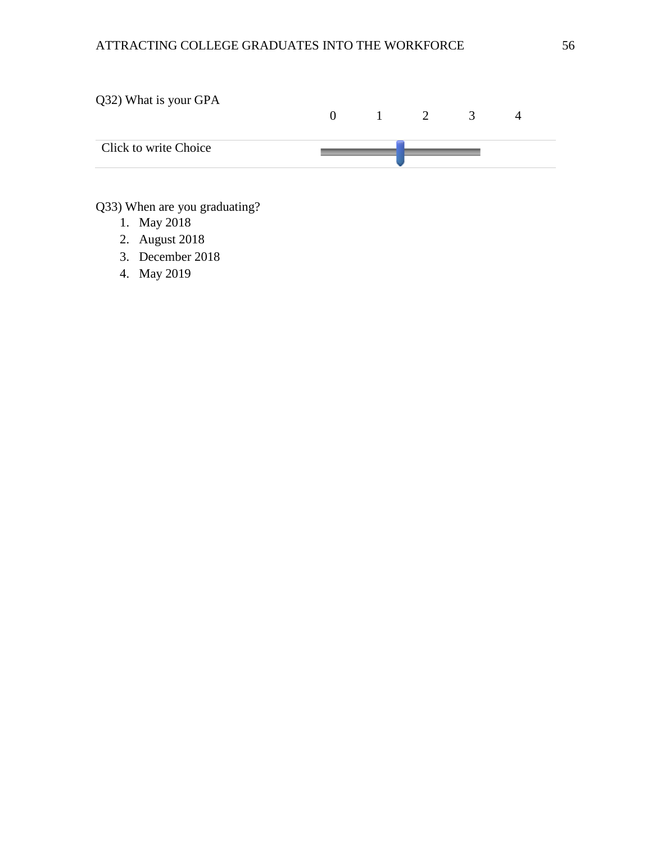

# Q33) When are you graduating?

- 1. May 2018
- 2. August 2018
- 3. December 2018
- 4. May 2019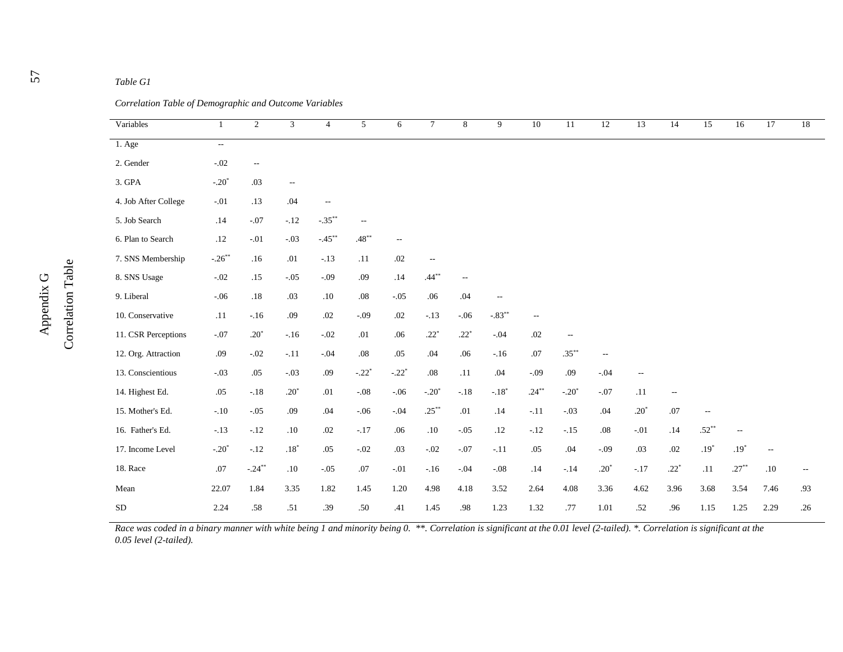| Variables            | -1        | $\overline{2}$           | 3                        | $\overline{4}$           | 5                        | 6       | $7\overline{ }$          | 8             | 9                        | 10              | 11       | 12                       | 13                       | 14     | 15                       | 16       | 17                       | 18                       |
|----------------------|-----------|--------------------------|--------------------------|--------------------------|--------------------------|---------|--------------------------|---------------|--------------------------|-----------------|----------|--------------------------|--------------------------|--------|--------------------------|----------|--------------------------|--------------------------|
| 1. Age               | $\sim$    |                          |                          |                          |                          |         |                          |               |                          |                 |          |                          |                          |        |                          |          |                          |                          |
| 2. Gender            | $-.02$    | $\overline{\phantom{m}}$ |                          |                          |                          |         |                          |               |                          |                 |          |                          |                          |        |                          |          |                          |                          |
| 3. GPA               | $-.20*$   | .03                      | $\overline{\phantom{m}}$ |                          |                          |         |                          |               |                          |                 |          |                          |                          |        |                          |          |                          |                          |
| 4. Job After College | $-.01$    | .13                      | .04                      | $\overline{\phantom{m}}$ |                          |         |                          |               |                          |                 |          |                          |                          |        |                          |          |                          |                          |
| 5. Job Search        | .14       | $-.07$                   | $-.12$                   | $-35**$                  | $\overline{\phantom{a}}$ |         |                          |               |                          |                 |          |                          |                          |        |                          |          |                          |                          |
| 6. Plan to Search    | .12       | $-.01$                   | $-.03$                   | $-45**$                  | $.48***$                 | $\sim$  |                          |               |                          |                 |          |                          |                          |        |                          |          |                          |                          |
| 7. SNS Membership    | $-.26***$ | .16                      | $.01\,$                  | $-.13$                   | .11                      | .02     | $\overline{\phantom{a}}$ |               |                          |                 |          |                          |                          |        |                          |          |                          |                          |
| 8. SNS Usage         | $-.02$    | .15                      | $-.05$                   | $-.09$                   | .09                      | .14     | $.44***$                 | $\sim$ $\sim$ |                          |                 |          |                          |                          |        |                          |          |                          |                          |
| 9. Liberal           | $-.06$    | $.18\,$                  | .03                      | .10                      | .08                      | $-.05$  | .06                      | .04           | $\overline{\phantom{a}}$ |                 |          |                          |                          |        |                          |          |                          |                          |
| 10. Conservative     | .11       | $-16$                    | .09                      | .02                      | $-.09$                   | .02     | $-.13$                   | $-06$         | $-83**$                  | $\sim$ $\sim$   |          |                          |                          |        |                          |          |                          |                          |
| 11. CSR Perceptions  | $-.07$    | $.20*$                   | $-.16$                   | $-.02$                   | .01                      | .06     | $.22*$                   | $.22^{\circ}$ | $-.04$                   | .02             | $- -$    |                          |                          |        |                          |          |                          |                          |
| 12. Org. Attraction  | .09       | $-.02$                   | $-.11$                   | $-.04$                   | $.08\,$                  | .05     | .04                      | .06           | $-.16$                   | $.07$           | $.35***$ | $\overline{\phantom{a}}$ |                          |        |                          |          |                          |                          |
| 13. Conscientious    | $-.03$    | .05                      | $-.03$                   | .09                      | $-.22*$                  | $-.22*$ | $.08\,$                  | .11           | .04                      | $-.09$          | .09      | $-.04$                   | $\overline{\phantom{a}}$ |        |                          |          |                          |                          |
| 14. Highest Ed.      | .05       | $-.18$                   | $.20*$                   | .01                      | $-.08$                   | $-.06$  | $-.20*$                  | $-.18$        | $-.18*$                  | $.24***$        | $-.20*$  | $-.07$                   | .11                      | $\sim$ |                          |          |                          |                          |
| 15. Mother's Ed.     | $-.10$    | $-.05$                   | .09                      | $.04\,$                  | $-.06$                   | $-.04$  | $.25***$                 | .01           | .14                      | $\textbf{-.11}$ | $-.03$   | .04                      | $.20\ensuremath{^\ast}$  | $.07$  | $\overline{\phantom{a}}$ |          |                          |                          |
| 16. Father's Ed.     | $-.13$    | $-.12$                   | .10                      | $.02\,$                  | $-.17$                   | $.06$   | $.10\,$                  | $-.05$        | .12                      | $-.12$          | $-.15$   | $.08\,$                  | $-.01$                   | .14    | $.52***$                 | $-\,-$   |                          |                          |
| 17. Income Level     | $-.20*$   | $-.12$                   | $.18\ensuremath{^\ast}$  | .05                      | $-.02$                   | .03     | $-.02$                   | $-.07$        | $-.11$                   | $.05$           | .04      | $-.09$                   | .03                      | .02    | $.19*$                   | $.19*$   | $\overline{\phantom{a}}$ |                          |
| 18. Race             | $.07\,$   | $-.24***$                | $.10\,$                  | $-.05$                   | $.07$                    | $-.01$  | $-.16$                   | $-.04$        | $-.08$                   | $.14$           | $-.14$   | $.20\ensuremath{^\ast}$  | $-.17$                   | $.22*$ | $.11\,$                  | $.27***$ | $.10\,$                  | $\overline{\phantom{m}}$ |
| Mean                 | 22.07     | 1.84                     | 3.35                     | 1.82                     | 1.45                     | 1.20    | 4.98                     | 4.18          | 3.52                     | 2.64            | 4.08     | 3.36                     | 4.62                     | 3.96   | 3.68                     | 3.54     | 7.46                     | .93                      |
| <b>SD</b>            | 2.24      | .58                      | .51                      | .39                      | .50                      | .41     | 1.45                     | .98           | 1.23                     | 1.32            | .77      | 1.01                     | .52                      | .96    | $1.15\,$                 | 1.25     | 2.29                     | .26                      |

Race was coded in a binary manner with white being 1 and minority being 0. \*\*. Correlation is significant at the 0.01 level (2-tailed). \*. Correlation is significant at the *0.05 level (2-tailed).*

5 7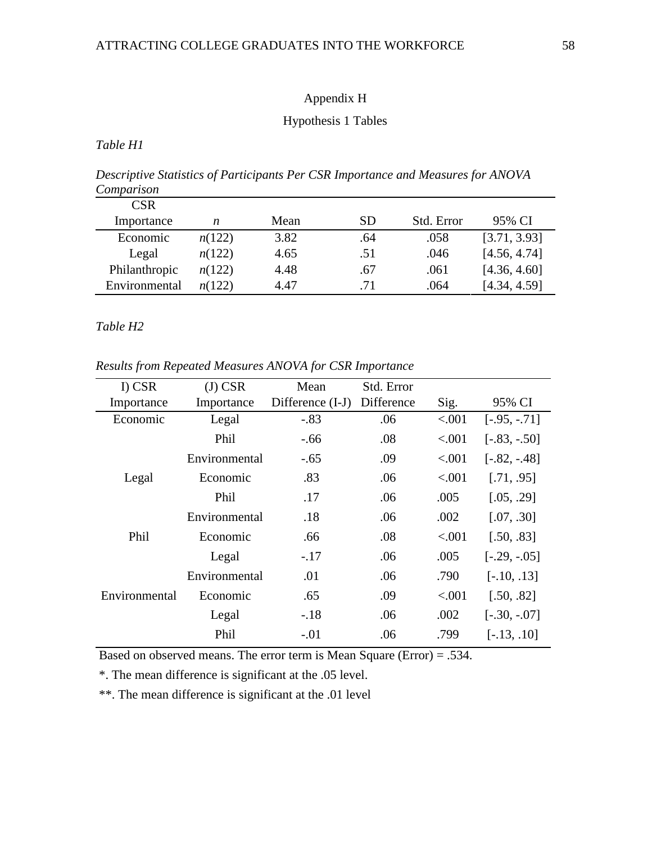## Appendix H

## Hypothesis 1 Tables

*Table H1*

*Descriptive Statistics of Participants Per CSR Importance and Measures for ANOVA Comparison*

| CSR-          |        |      |     |            |              |
|---------------|--------|------|-----|------------|--------------|
| Importance    | n      | Mean | SD  | Std. Error | 95% CI       |
| Economic      | n(122) | 3.82 | .64 | .058       | [3.71, 3.93] |
| Legal         | n(122) | 4.65 | .51 | .046       | [4.56, 4.74] |
| Philanthropic | n(122) | 4.48 | .67 | .061       | [4.36, 4.60] |
| Environmental | n(122) | 4.47 | .71 | .064       | [4.34, 4.59] |

*Table H2*

*Results from Repeated Measures ANOVA for CSR Importance*

| I) CSR        | $(J)$ CSR     | Mean               | Std. Error |        |                 |
|---------------|---------------|--------------------|------------|--------|-----------------|
| Importance    | Importance    | Difference $(I-J)$ | Difference | Sig.   | 95% CI          |
| Economic      | Legal         | $-.83$             | .06        | < .001 | $[-.95, -.71]$  |
|               | Phil          | $-.66$             | .08        | < .001 | $[-.83, -.50]$  |
|               | Environmental | $-.65$             | .09        | < .001 | $[-.82, -0.48]$ |
| Legal         | Economic      | .83                | .06        | < .001 | [.71, .95]      |
|               | Phil          | .17                | .06        | .005   | [.05, .29]      |
|               | Environmental | .18                | .06        | .002   | [.07, .30]      |
| Phil          | Economic      | .66                | .08        | < .001 | [.50, .83]      |
|               | Legal         | $-.17$             | .06        | .005   | $[-.29, -.05]$  |
|               | Environmental | .01                | .06        | .790   | $[-.10, .13]$   |
| Environmental | Economic      | .65                | .09        | < .001 | [.50, .82]      |
|               | Legal         | $-.18$             | .06        | .002   | $[-.30, -.07]$  |
|               | Phil          | $-.01$             | .06        | .799   | $[-.13, .10]$   |

Based on observed means. The error term is Mean Square (Error) = .534.

\*. The mean difference is significant at the .05 level.

\*\*. The mean difference is significant at the .01 level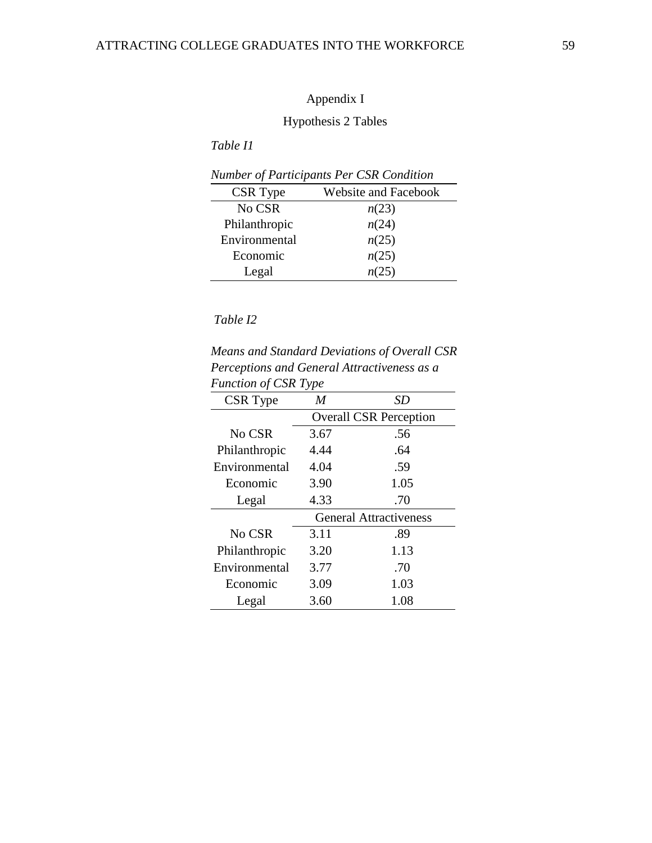# Hypothesis 2 Tables

*Table I1*

| Number of Participants Per CSR Condition |                             |  |  |  |  |  |
|------------------------------------------|-----------------------------|--|--|--|--|--|
| CSR Type                                 | <b>Website and Facebook</b> |  |  |  |  |  |
| No CSR                                   | n(23)                       |  |  |  |  |  |
| Philanthropic                            | n(24)                       |  |  |  |  |  |
| Environmental                            | n(25)                       |  |  |  |  |  |
| Economic                                 | n(25)                       |  |  |  |  |  |
| Legal                                    | n(25)                       |  |  |  |  |  |

# *Table I2*

*Means and Standard Deviations of Overall CSR Perceptions and General Attractiveness as a Function of CSR Type* 

| $\mu$ whenever $\sigma$ $\mu$ $\sigma$ $\mu$ $\sigma$ |                               |                               |  |  |  |  |
|-------------------------------------------------------|-------------------------------|-------------------------------|--|--|--|--|
| CSR Type                                              | M                             | SD                            |  |  |  |  |
|                                                       | <b>Overall CSR Perception</b> |                               |  |  |  |  |
| No CSR                                                | 3.67                          | .56                           |  |  |  |  |
| Philanthropic                                         | 4.44                          | .64                           |  |  |  |  |
| Environmental                                         | 4.04                          | .59                           |  |  |  |  |
| Economic                                              | 3.90                          | 1.05                          |  |  |  |  |
| Legal                                                 | 4.33                          | .70                           |  |  |  |  |
|                                                       |                               | <b>General Attractiveness</b> |  |  |  |  |
| No CSR                                                | 3.11                          | .89                           |  |  |  |  |
| Philanthropic                                         | 3.20                          | 1.13                          |  |  |  |  |
| Environmental                                         | 3.77                          | .70                           |  |  |  |  |
| Economic                                              | 3.09                          | 1.03                          |  |  |  |  |
| Legal                                                 | 3.60                          | 1.08                          |  |  |  |  |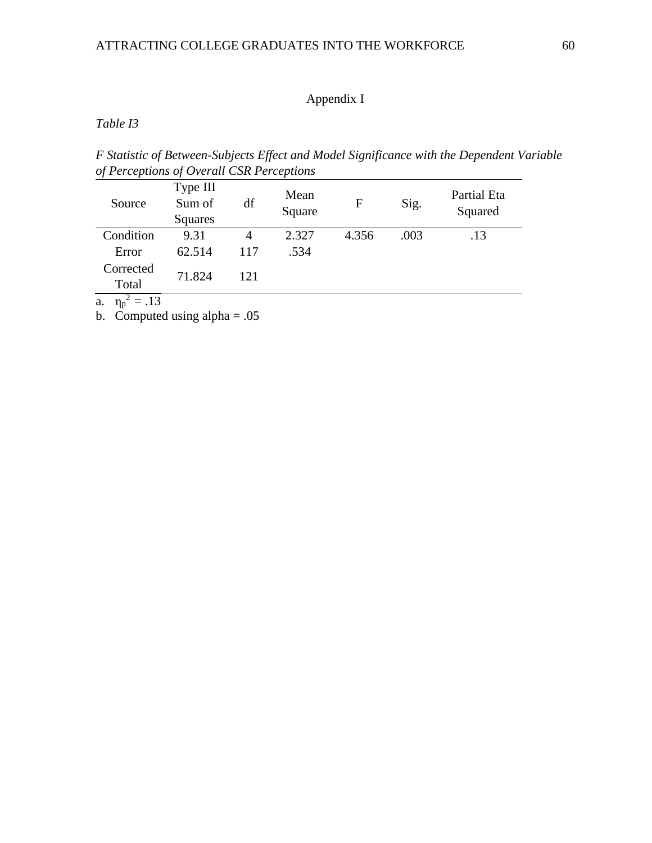*Table I3*

*F Statistic of Between-Subjects Effect and Model Significance with the Dependent Variable of Perceptions of Overall CSR Perceptions*

| Source             | Type III<br>Sum of<br>Squares | df  | Mean<br>Square | F     | Sig. | <b>Partial Eta</b><br>Squared |
|--------------------|-------------------------------|-----|----------------|-------|------|-------------------------------|
| Condition          | 9.31                          |     | 2.327          | 4.356 | .003 | .13                           |
| Error              | 62.514                        | 117 | .534           |       |      |                               |
| Corrected<br>Total | 71.824                        | 121 |                |       |      |                               |
| $1^{\circ}$        |                               |     |                |       |      |                               |

a.  $\eta_p^2 = .13$ 

b. Computed using alpha  $= .05$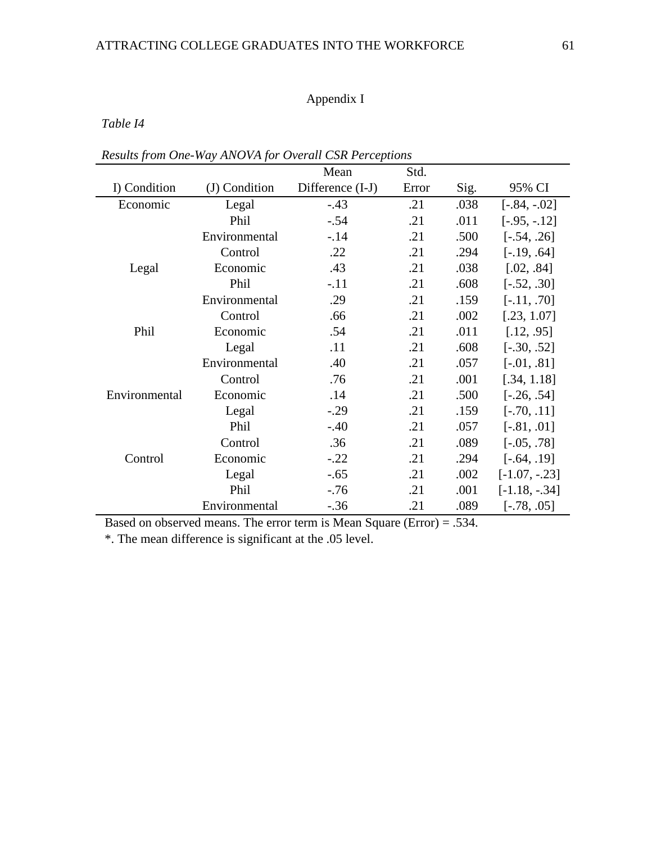*Table I4*

|               |               | Mean             | Std.  |      |                  |
|---------------|---------------|------------------|-------|------|------------------|
| I) Condition  | (J) Condition | Difference (I-J) | Error | Sig. | 95% CI           |
| Economic      | Legal         | $-.43$           | .21   | .038 | $[-.84, -.02]$   |
|               | Phil          | $-.54$           | .21   | .011 | $[-.95, -.12]$   |
|               | Environmental | $-14$            | .21   | .500 | $[-.54, .26]$    |
|               | Control       | .22              | .21   | .294 | $[-.19, .64]$    |
| Legal         | Economic      | .43              | .21   | .038 | [.02, .84]       |
|               | Phil          | $-.11$           | .21   | .608 | $[-.52, .30]$    |
|               | Environmental | .29              | .21   | .159 | $[-.11, .70]$    |
|               | Control       | .66              | .21   | .002 | [.23, 1.07]      |
| Phil          | Economic      | .54              | .21   | .011 | [.12, .95]       |
|               | Legal         | .11              | .21   | .608 | $[-.30, .52]$    |
|               | Environmental | .40              | .21   | .057 | $[-.01, .81]$    |
|               | Control       | .76              | .21   | .001 | [.34, 1.18]      |
| Environmental | Economic      | .14              | .21   | .500 | $[-.26, .54]$    |
|               | Legal         | $-.29$           | .21   | .159 | $[-.70, .11]$    |
|               | Phil          | $-.40$           | .21   | .057 | $[-.81, .01]$    |
|               | Control       | .36              | .21   | .089 | $[-.05, .78]$    |
| Control       | Economic      | $-.22$           | .21   | .294 | $[-.64, .19]$    |
|               | Legal         | $-.65$           | .21   | .002 | $[-1.07, -0.23]$ |
|               | Phil          | $-.76$           | .21   | .001 | $[-1.18, -0.34]$ |
|               | Environmental | $-.36$           | .21   | .089 | $[-.78, .05]$    |

*Results from One-Way ANOVA for Overall CSR Perceptions*

Based on observed means. The error term is Mean Square (Error) = .534.

\*. The mean difference is significant at the .05 level.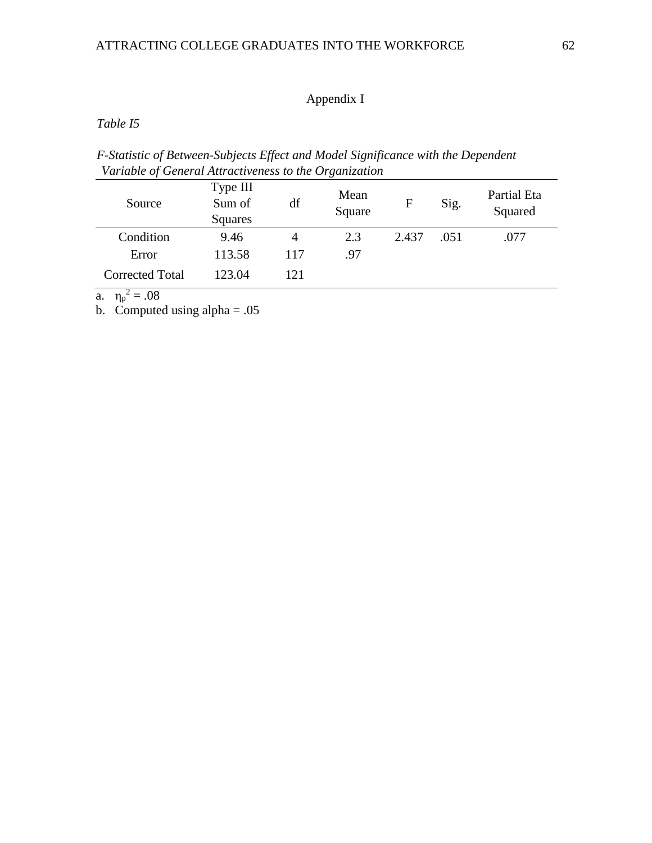*Table I5*

*F-Statistic of Between-Subjects Effect and Model Significance with the Dependent Variable of General Attractiveness to the Organization* 

| Source                 | Type III<br>Sum of<br>Squares | df  | Mean<br>Square | F     | Sig. | Partial Eta<br>Squared |
|------------------------|-------------------------------|-----|----------------|-------|------|------------------------|
| Condition              | 9.46                          | 4   | 2.3            | 2.437 | .051 | .077                   |
| Error                  | 113.58                        | 117 | .97            |       |      |                        |
| <b>Corrected Total</b> | 123.04                        | 121 |                |       |      |                        |

a.  $\eta_p^2 = .08$ 

b. Computed using  $alpha = .05$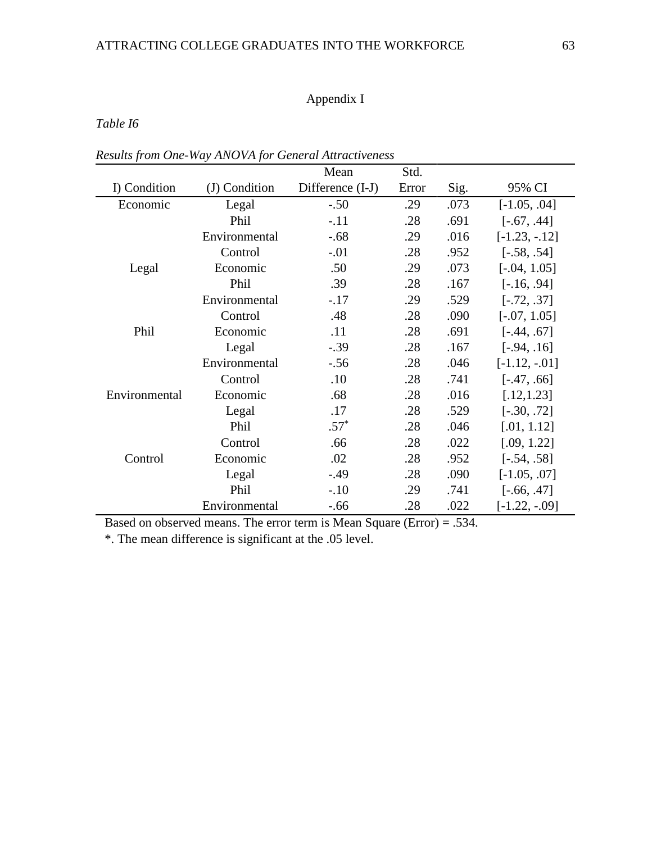*Table I6*

|               |               | Mean             | Std.  |      |                  |
|---------------|---------------|------------------|-------|------|------------------|
| I) Condition  | (J) Condition | Difference (I-J) | Error | Sig. | 95% CI           |
| Economic      | Legal         | $-.50$           | .29   | .073 | $[-1.05, .04]$   |
|               | Phil          | $-.11$           | .28   | .691 | $[-.67, .44]$    |
|               | Environmental | $-0.68$          | .29   | .016 | $[-1.23, -12]$   |
|               | Control       | $-.01$           | .28   | .952 | $[-.58, .54]$    |
| Legal         | Economic      | .50              | .29   | .073 | $[-.04, 1.05]$   |
|               | Phil          | .39              | .28   | .167 | $[-.16, .94]$    |
|               | Environmental | $-.17$           | .29   | .529 | $[-.72, .37]$    |
|               | Control       | .48              | .28   | .090 | $[-.07, 1.05]$   |
| Phil          | Economic      | .11              | .28   | .691 | $[-.44, .67]$    |
|               | Legal         | $-.39$           | .28   | .167 | $[-.94, .16]$    |
|               | Environmental | $-.56$           | .28   | .046 | $[-1.12, -01]$   |
|               | Control       | .10              | .28   | .741 | $[-.47, .66]$    |
| Environmental | Economic      | .68              | .28   | .016 | [.12, 1.23]      |
|               | Legal         | .17              | .28   | .529 | $[-.30, .72]$    |
|               | Phil          | $.57*$           | .28   | .046 | [.01, 1.12]      |
|               | Control       | .66              | .28   | .022 | [.09, 1.22]      |
| Control       | Economic      | .02              | .28   | .952 | $[-.54, .58]$    |
|               | Legal         | $-49$            | .28   | .090 | $[-1.05, .07]$   |
|               | Phil          | $-.10$           | .29   | .741 | $[-.66, .47]$    |
|               | Environmental | $-.66$           | .28   | .022 | $[-1.22, -0.09]$ |

*Results from One-Way ANOVA for General Attractiveness*

Based on observed means. The error term is Mean Square (Error) = .534.

\*. The mean difference is significant at the .05 level.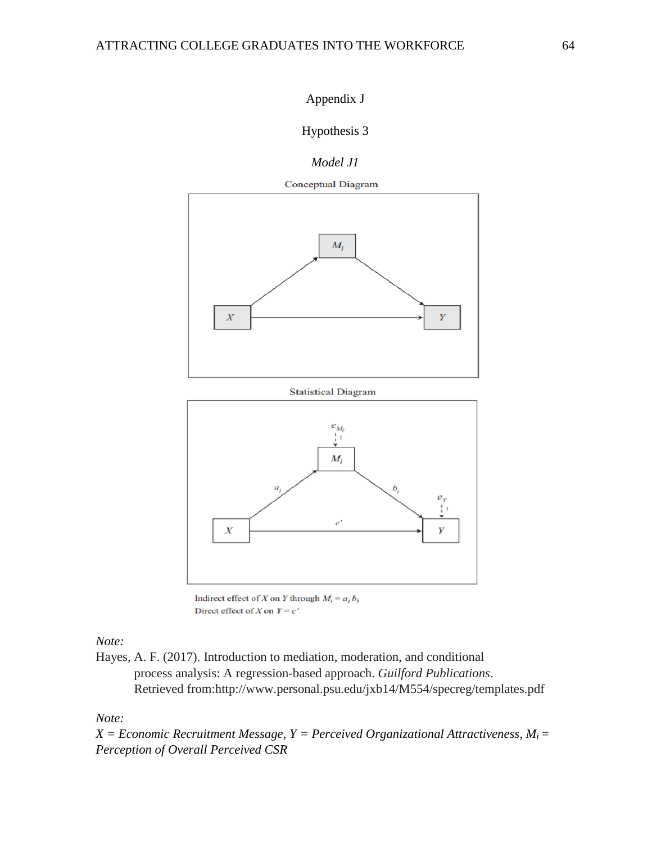# Hypothesis 3

*Model J1*



**Statistical Diagram** 



Indirect effect of X on Y through  $M_i = a_i b_i$ Direct effect of X on  $Y = c'$ 

*Note:* 

Hayes, A. F. (2017). Introduction to mediation, moderation, and conditional process analysis: A regression-based approach. *Guilford Publications*. Retrieved from:http://www.personal.psu.edu/jxb14/M554/specreg/templates.pdf

*Note:* 

 $X = Economic$  *Recruitment Message, Y = Perceived Organizational Attractiveness, M<sub>i</sub> = Perception of Overall Perceived CSR*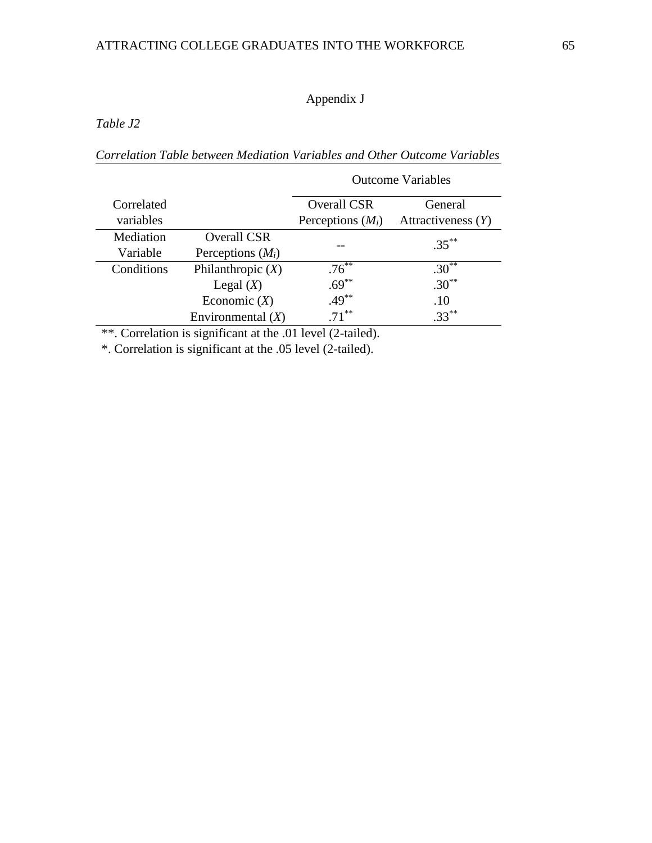*Table J2*

*Correlation Table between Mediation Variables and Other Outcome Variables*

|            |                     | <b>Outcome Variables</b> |                      |  |
|------------|---------------------|--------------------------|----------------------|--|
| Correlated |                     | <b>Overall CSR</b>       | General              |  |
| variables  |                     | Perceptions $(M_i)$      | Attractiveness $(Y)$ |  |
| Mediation  | <b>Overall CSR</b>  |                          | $.35***$             |  |
| Variable   | Perceptions $(M_i)$ |                          |                      |  |
| Conditions | Philanthropic $(X)$ | $.76***$                 | $.30**$              |  |
|            | Legal $(X)$         | $.69***$                 | $.30^{**}$           |  |
|            | Economic $(X)$      | $.49***$                 | .10                  |  |
|            | Environmental $(X)$ | $71***$                  | $.33***$             |  |

\*\*. Correlation is significant at the .01 level (2-tailed).

\*. Correlation is significant at the .05 level (2-tailed).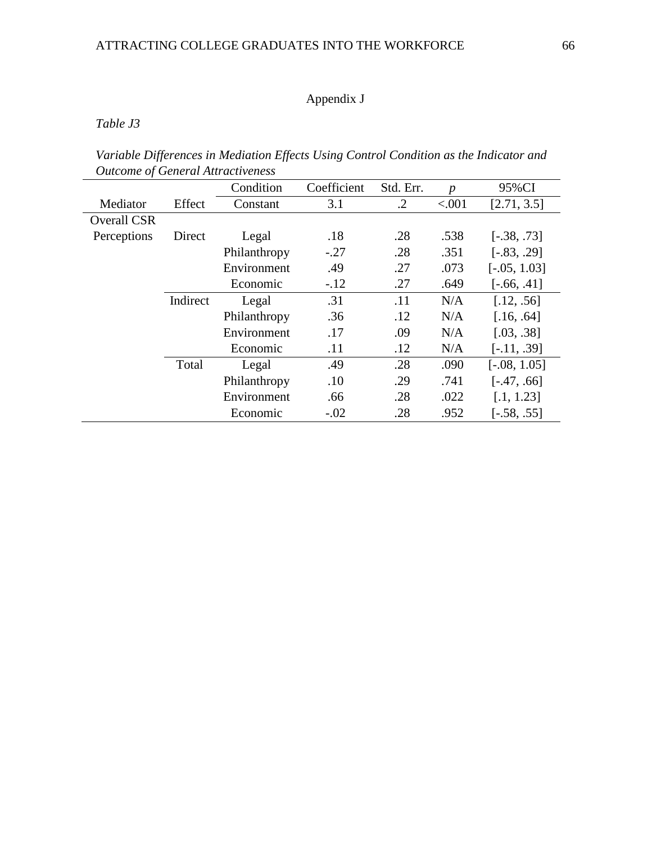*Table J3*

| Variable Differences in Mediation Effects Using Control Condition as the Indicator and |  |  |
|----------------------------------------------------------------------------------------|--|--|
| <b>Outcome of General Attractiveness</b>                                               |  |  |

|                    |          | Condition    | Coefficient | Std. Err.  | $\boldsymbol{p}$ | 95%CI          |
|--------------------|----------|--------------|-------------|------------|------------------|----------------|
| Mediator           | Effect   | Constant     | 3.1         | $\cdot$ .2 | < .001           | [2.71, 3.5]    |
| <b>Overall CSR</b> |          |              |             |            |                  |                |
| Perceptions        | Direct   | Legal        | .18         | .28        | .538             | $[-.38, .73]$  |
|                    |          | Philanthropy | $-.27$      | .28        | .351             | $[-.83, .29]$  |
|                    |          | Environment  | .49         | .27        | .073             | $[-.05, 1.03]$ |
|                    |          | Economic     | $-.12$      | .27        | .649             | $[-.66, .41]$  |
|                    | Indirect | Legal        | .31         | .11        | N/A              | [.12, .56]     |
|                    |          | Philanthropy | .36         | .12        | N/A              | [.16, .64]     |
|                    |          | Environment  | .17         | .09        | N/A              | [.03, .38]     |
|                    |          | Economic     | .11         | .12        | N/A              | $[-.11, .39]$  |
|                    | Total    | Legal        | .49         | .28        | .090             | $[-.08, 1.05]$ |
|                    |          | Philanthropy | .10         | .29        | .741             | $[-.47, .66]$  |
|                    |          | Environment  | .66         | .28        | .022             | [.1, 1.23]     |
|                    |          | Economic     | $-.02$      | .28        | .952             | $[-.58, .55]$  |